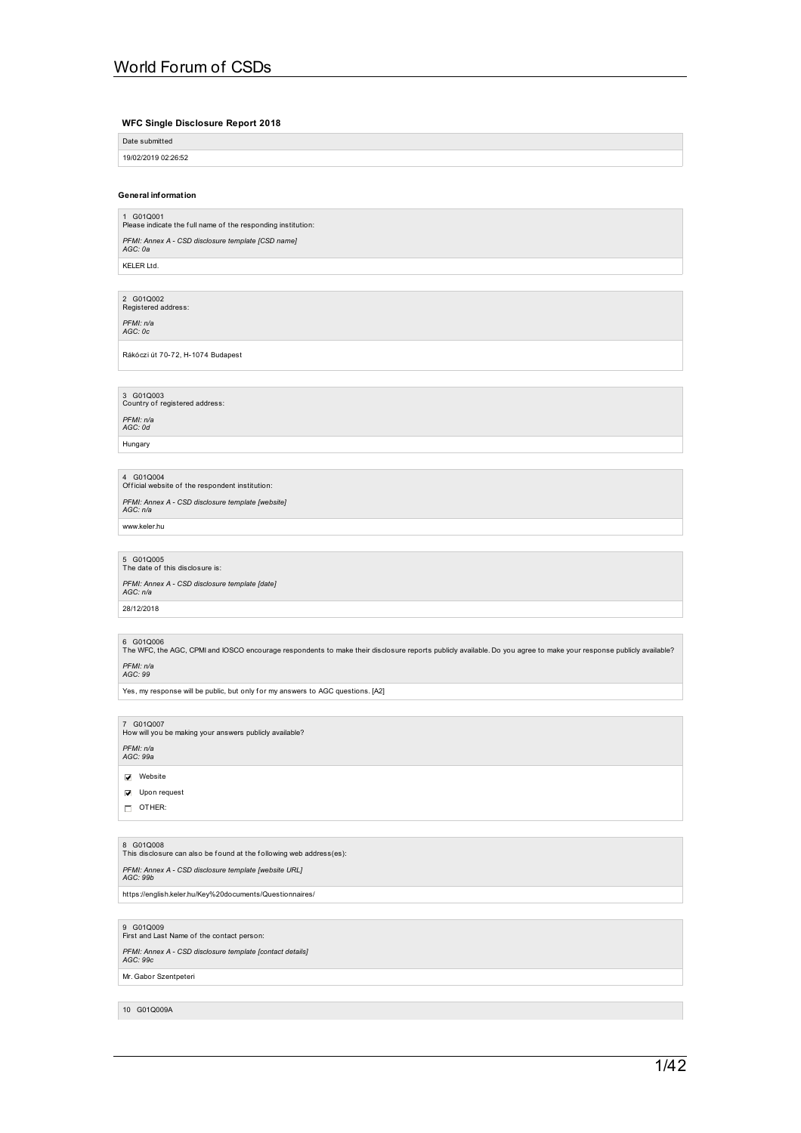### **WFC Single Disclosure Report 2018**

Date submitted 19/02/2019 02:26:52

### **General information**

1 G01Q001<br>Please indicate the full name of the responding institution: *PFMI: Annex A -CSD disclosure template [CSD name] AGC: 0a*

KELER Ltd.

2 G01Q002<br>Registered address:

*PFMI: n/a AGC: 0c*

Rákóczi út 70-72, H-1074 Budapest

3 G01Q003<br>Country of registered address: *PFMI: n/a AGC: 0d*

Hungary

4 G01Q004<br>Official website of the respondent institution: *PFMI: Annex A -CSD disclosure template [website] AGC: n/a* www.keler.hu

5 G01Q005<br>The date of this disclosure is:

*PFMI: Annex A -CSD disclosure template [date] AGC: n/a*

28/12/2018

6 G01Q006<br>The WFC, the AGC, CPMI and IOSCO encourage respondents to make their disclosure reports publicly available. Do you agree to make your response publicly available?

*PFMI: n/a AGC: 99*

Yes, my response will be public, but only for my answers to AGC questions. [A2]

7 G01Q007<br>How will you be making your answers publicly available?

*PFMI: n/a AGC: 99a*

**Vebsite** 

**V** Upon request

OTHER:

8 G01Q008<br>This disclosure can also be found at the following web address(es):

*PFMI: Annex A -CSD disclosure template [website URL] AGC: 99b* https://english.keler.hu/Key%20documents/Questionnaires/

9 G01Q009<br>First and Last Name of the contact person:

*PFMI: Annex A -CSD disclosure template [contact details] AGC: 99c*

Mr. Gabor Szentpeteri

10 G01Q009A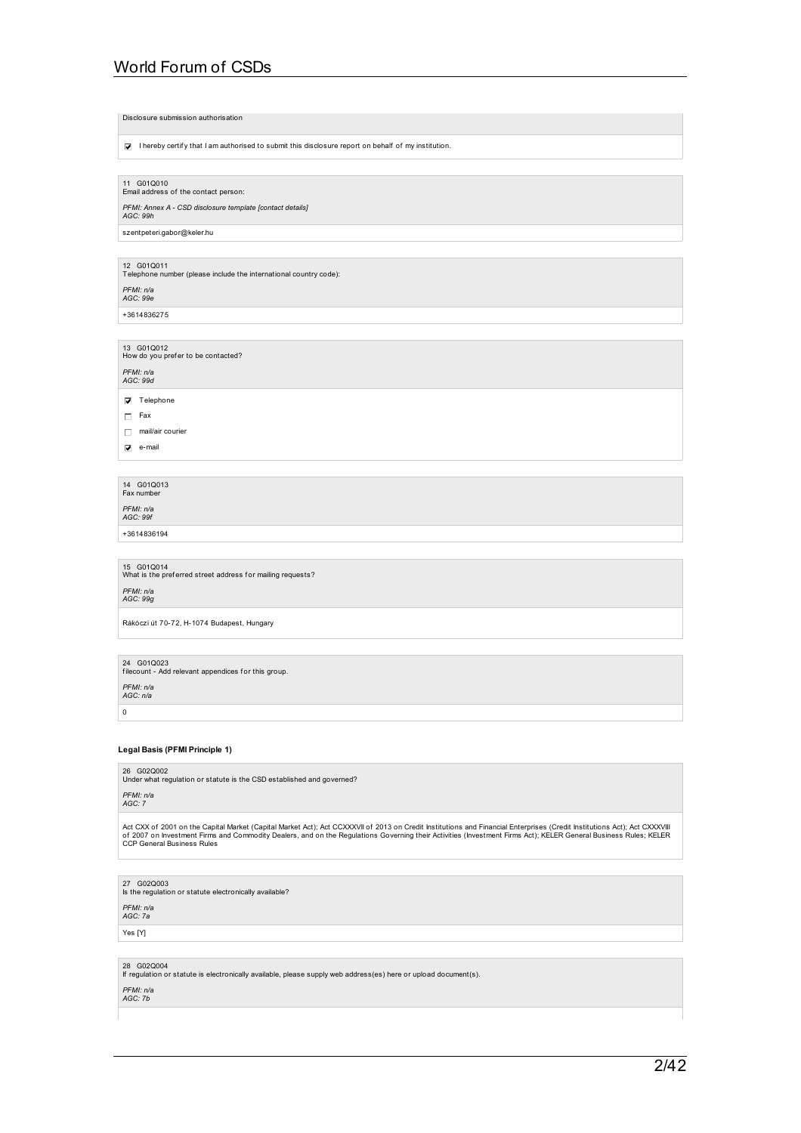|                            | Disclosure submission authorisation                                                                 |
|----------------------------|-----------------------------------------------------------------------------------------------------|
| <b>V</b>                   | I hereby certify that I am authorised to submit this disclosure report on behalf of my institution. |
|                            |                                                                                                     |
| 11 G01Q010                 | Email address of the contact person:                                                                |
| AGC: 99h                   | PFMI: Annex A - CSD disclosure template [contact details]                                           |
| szentpeteri.gabor@keler.hu |                                                                                                     |
|                            |                                                                                                     |
| 12 G01Q011                 | Telephone number (please include the international country code):                                   |
| PFMI: n/a<br>AGC: 99e      |                                                                                                     |
| +3614836275                |                                                                                                     |
|                            |                                                                                                     |
| 13 G01Q012                 | How do you prefer to be contacted?                                                                  |
| PFMI: n/a<br>AGC: 99d      |                                                                                                     |
| Telephone<br>☑             |                                                                                                     |
| Fax<br>п                   |                                                                                                     |
| mail/air courier<br>Л      |                                                                                                     |
| e-mail<br>⊽                |                                                                                                     |

14 G01Q013 Fax number

*PFMI: n/a AGC: 99f*

+3614836194

15 G01Q014<br>What is the preferred street address for mailing requests? *PFMI: n/a AGC: 99g*

Rákóczi út 70-72, H-1074 Budapest, Hungary

24 G01Q023 f ilecount - Add relevant appendices f or this group.

*PFMI: n/a AGC: n/a*

 $\,$  0  $\,$ 

## **Legal Basis (PFMI Principle 1)**

26 G02Q002<br>Under what regulation or statute is the CSD established and governed?

*PFMI: n/a AGC: 7*

Act CXX of 2001 on the Capital Market (Capital Market Act); Act CCXXXVII of 2013 on Credit Institutions and Financial Enterprises (Credit Institutions Act); Act CXXXVIII<br>of 2007 on Investment Firms and Commodity Dealers, a

27 G02Q003 Is the regulation or statute electronically available?

*PFMI: n/a AGC: 7a*

Yes [Y]

28 G02Q004 If regulation or statute is electronically available, please supply web address(es) here or upload document(s).

*PFMI: n/a AGC: 7b*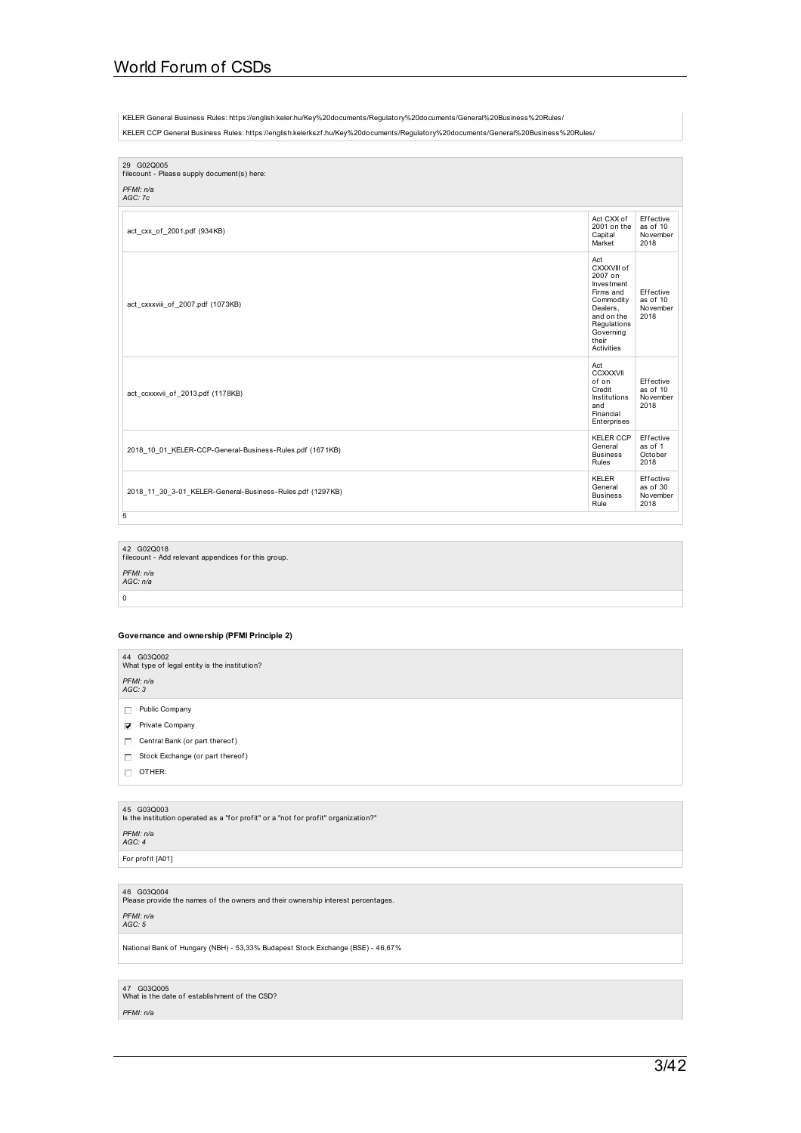KELER General Business Rules: https://english.keler.hu/Key%20documents/Regulatory%20documents/General%20Business%20Rules/

KELER CCP General Business Rules: https://english.kelerkszf .hu/Key%20documents/Regulatory%20documents/General%20Business%20Rules/

| 29 G02Q005<br>filecount - Please supply document(s) here:<br>PFMI: n/a<br>AGC: 7c |                                                                                                                                                    |                                           |
|-----------------------------------------------------------------------------------|----------------------------------------------------------------------------------------------------------------------------------------------------|-------------------------------------------|
|                                                                                   |                                                                                                                                                    |                                           |
| act cxx of 2001.pdf (934KB)                                                       | Act CXX of<br>2001 on the<br>Capital<br>Market                                                                                                     | Effective<br>as of 10<br>November<br>2018 |
| act_cxxxviii_of_2007.pdf (1073KB)                                                 | Act<br>CXXXVIII of<br>2007 on<br>Investment<br>Firms and<br>Commodity<br>Dealers.<br>and on the<br>Regulations<br>Governing<br>their<br>Activities | Effective<br>as of 10<br>November<br>2018 |
| act_ccxxxvii_of_2013.pdf (1178KB)                                                 | Act<br>CCXXXVII<br>of on<br>Credit<br>Institutions<br>and<br>Financial<br>Enterprises                                                              | Effective<br>as of 10<br>November<br>2018 |
| 2018 10 01 KELER-CCP-General-Business-Rules.pdf (1671KB)                          | KELER CCP<br>General<br><b>Business</b><br>Rules                                                                                                   | Effective<br>as of 1<br>October<br>2018   |
| 2018 11 30 3-01 KELER-General-Business-Rules.pdf (1297KB)                         | <b>KELER</b><br>General<br><b>Business</b><br>Rule                                                                                                 | Effective<br>as of 30<br>November<br>2018 |
| 5                                                                                 |                                                                                                                                                    |                                           |

42 G02Q018 f ilecount - Add relevant appendices f or this group.

*PFMI: n/a AGC: n/a*

## $\boxed{0}$

## **Governance and ownership (PFMI Principle 2)**

| 44 G03Q002<br>What type of legal entity is the institution?<br>PFMI: n/a<br>AGC: 3 |  |
|------------------------------------------------------------------------------------|--|
| Public Company<br>п                                                                |  |
| Private Company<br>罓                                                               |  |
| Central Bank (or part thereof)<br>п                                                |  |
| Stock Exchange (or part thereof)<br>п                                              |  |
| OTHER:                                                                             |  |

45 G03Q003 Is the institution operated as a "f or prof it" or a "not f or prof it" organization?"

## *PFMI: n/a AGC: 4*

For profit [A01]

46 G03Q004<br>Please provide the names of the owners and their ownership interest percentages.

## *PFMI: n/a AGC: 5*

National Bank of Hungary (NBH) - 53,33% Budapest Stock Exchange (BSE) - 46,67%

47  $\,$  G03Q005  $\,$  What is the date of establishment of the CSD?  $\,$ 

### *PFMI: n/a*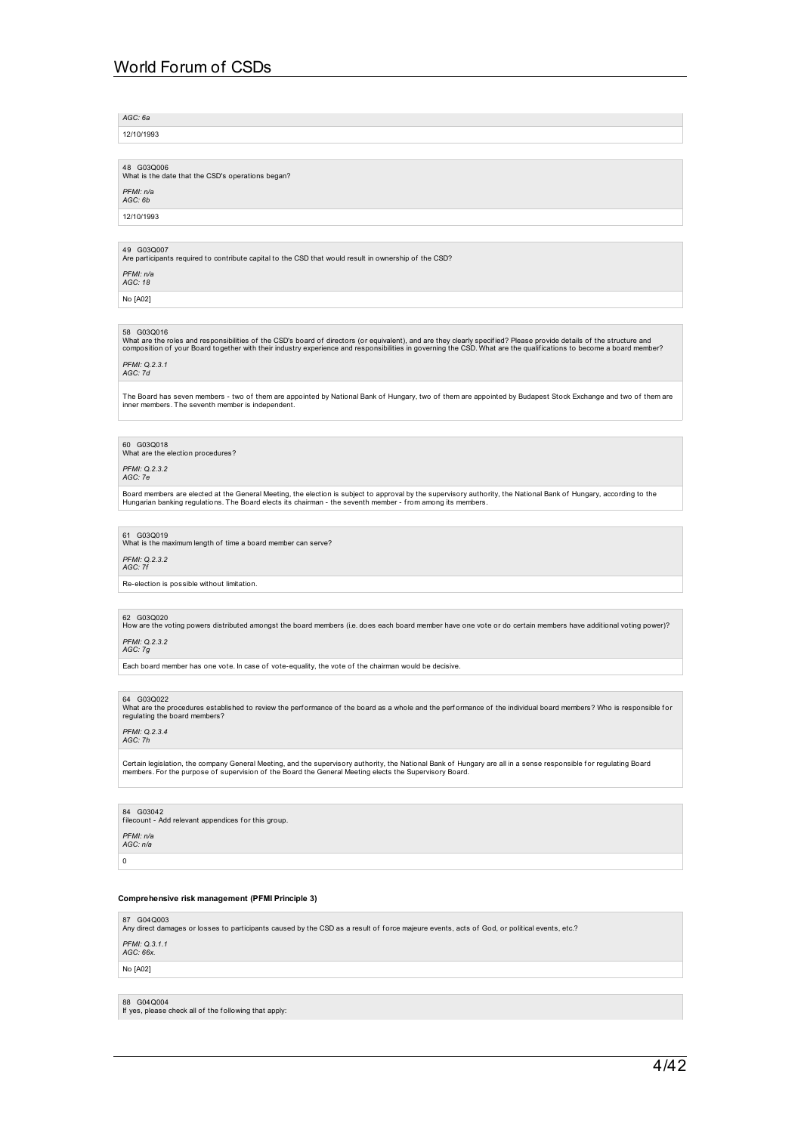*AGC: 6a*

12/10/1993

48 G03Q006 What is the date that the CSD's operations began?

*PFMI: n/a AGC: 6b*

12/10/1993

49 G03Q007<br>Are participants required to contribute capital to the CSD that would result in ownership of the CSD?

*PFMI: n/a AGC: 18*

No [A02]

### 58 G03Q016

What are the roles and responsibilities of the CSD's board of directors (or equivalent), and are they clearly specified? Please provide details of the structure and<br>composition of your Board together with their industry ex

*PFMI: Q.2.3.1 AGC: 7d*

The Board has seven members - two of them are appointed by National Bank of Hungary, two of them are appointed by Budapest Stock Exchange and two of them are inner members. The seventh member is independent.

60 G03Q018 What are the election procedures?

*PFMI: Q.2.3.2 AGC: 7e*

Board members are elected at the General Meeting, the election is subject to approval by the supervisory authority, the National Bank of Hungary, according to the<br>Hungarian banking regulations. The Board elects its chairma

## 61 G03Q019

at is the maximum length of time a board member can serve?

*PFMI: Q.2.3.2 AGC: 7f*

Re-election is possible without limitation.

62 G03Q020<br>How are the voting powers distributed amongst the board members (i.e. does each board member have one vote or do certain members have additional voting power)?

*PFMI: Q.2.3.2 AGC: 7g*

Each board member has one vote. In case of vote-equality, the vote of the chairman would be decisive.

64 G03Q022<br>What are the procedures established to review the performance of the board as a whole and the performance of the individual board members? Who is responsible for<br>regulating the board members?

*PFMI: Q.2.3.4 AGC: 7h*

Certain legislation, the company General Meeting, and the supervisory authority, the National Bank of Hungary are all in a sense responsible for regulating Board<br>members. For the purpose of supervision of the Board the Gen

84 G03042 f ilecount - Add relevant appendices f or this group.

*PFMI: n/a AGC: n/a*

 $\overline{0}$ 

### **Comprehensive risk management (PFMI Principle 3)**

87 G04Q003<br>Any direct damages or losses to participants caused by the CSD as a result of force majeure events, acts of God, or political events, etc.? *PFMI: Q.3.1.1 AGC: 66x.* No [A02]

88 G04Q004 If yes, please check all of the following that apply: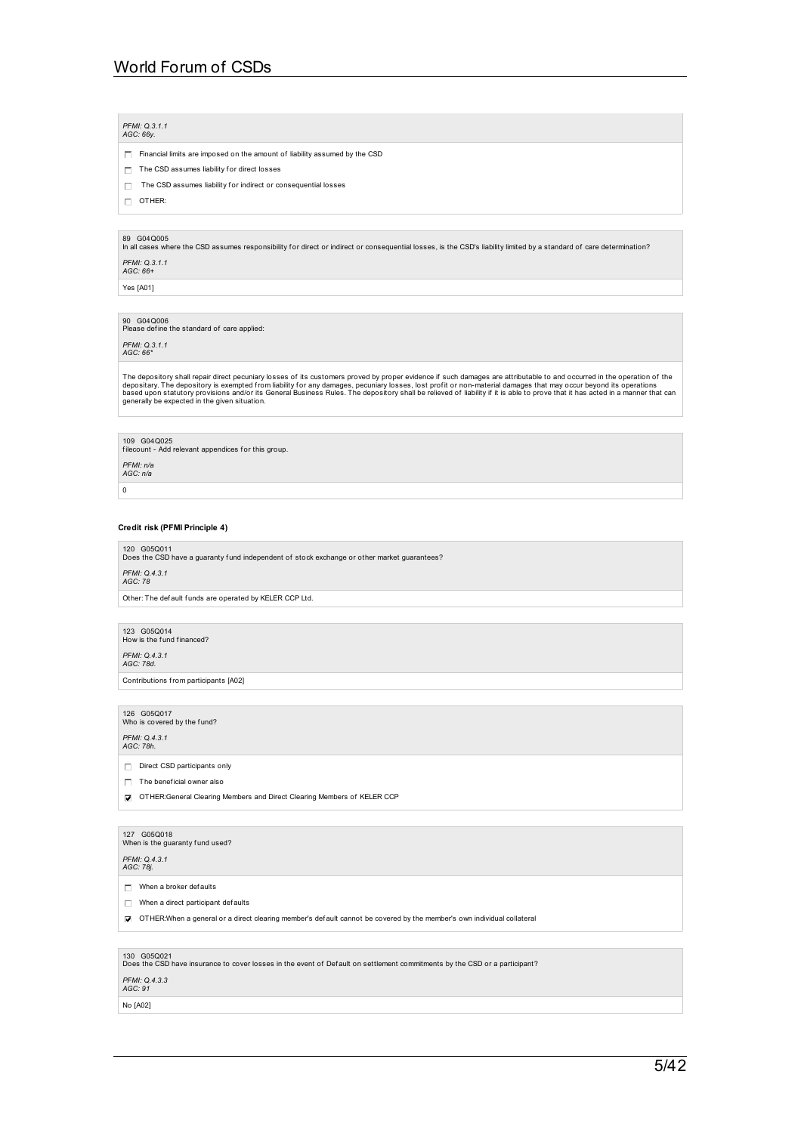### *PFMI: Q.3.1.1 AGC: 66y.*

- $\Box$  Financial limits are imposed on the amount of liability assumed by the CSD
- $\Box$  The CSD assumes liability for direct losses
- $\Box$  The CSD assumes liability for indirect or consequential losses
- $\Box$  OTHER:

89 G04Q005<br>In all cases where the CSD assumes responsibility for direct or indirect or consequential losses, is the CSD's liability limited by a standard of care determination?

*PFMI: Q.3.1.1 AGC: 66+*

Yes [A01]

90  $\,$  G04Q006  $\,$  Please define the standard of care applied:  $\,$ 

*PFMI: Q.3.1.1 AGC: 66\**

The depository shall repair direct pecuniary losses of its customers proved by proper evidence if such damages are attributable to and occurred in the operation of the<br>depositary. The depository is exempted from liability

109 G04Q025 f ilecount - Add relevant appendices f or this group.

*PFMI: n/a AGC: n/a*

 $\,$  0  $\,$ 

### **Credit risk (PFMI Principle 4)**

### 120 G05Q011

Does the CSD have a guaranty fund independent of stock exchange or other market guarantees? *PFMI: Q.4.3.1 AGC: 78*

Other: The default funds are operated by KELER CCP Ltd.

123 G05Q014<br>How is the fund financed?

*PFMI: Q.4.3.1 AGC: 78d.*

Contributions from participants [A02]

126 G05Q017<br>Who is covered by the fund?

*PFMI: Q.4.3.1 AGC: 78h.*

Direct CSD participants only

 $\Box$  The beneficial owner also

OTHER:General Clearing Members and Direct Clearing Members of KELER CCP

# 127 G05Q018<br>When is the guaranty fund used?

*PFMI: Q.4.3.1 AGC: 78j.*

 $\Box$  When a broker defaults

 $\Box$  When a direct participant defaults

OTHER:When a general or a direct clearing member's def ault cannot be covered by the member's own individual collateral

130  $\,$  G05Q021<br>Does the CSD have insurance to cover losses in the event of Default on settlement commitments by the CSD or a participant?

## *PFMI: Q.4.3.3 AGC: 91*

No [A02]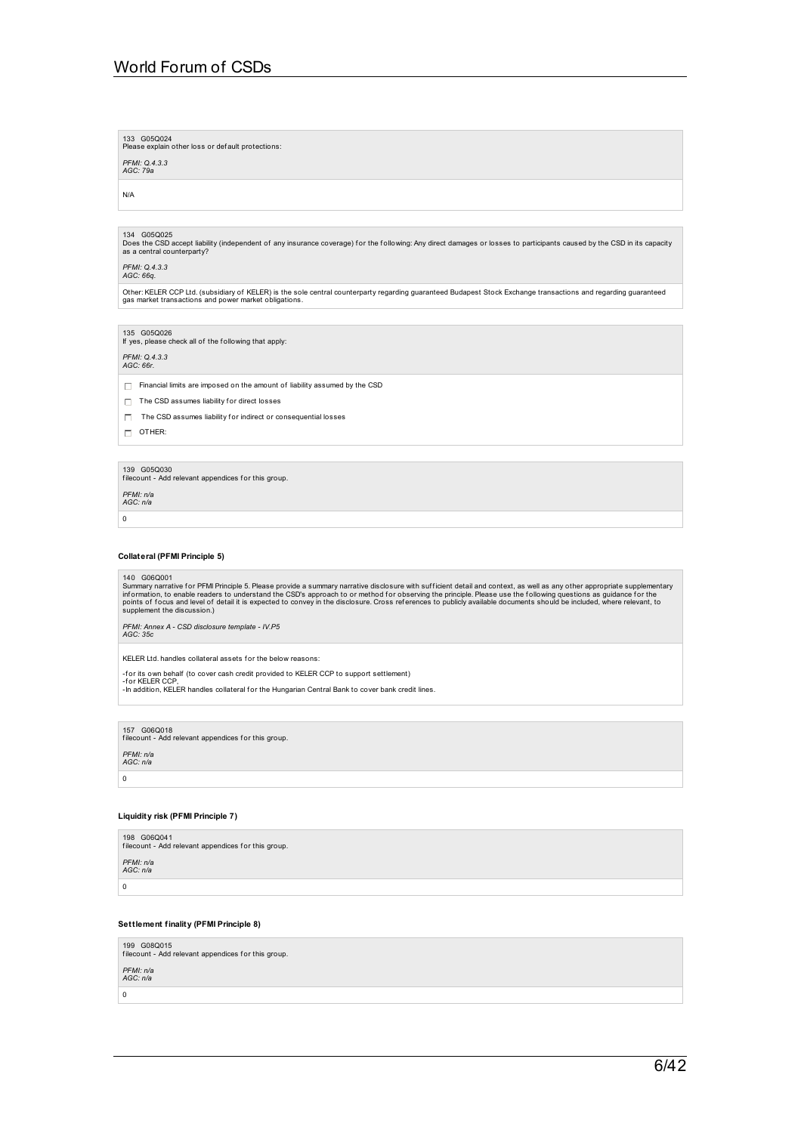133 G05Q024<br>Please explain other loss or def ault protections:

*PFMI: Q.4.3.3 AGC: 79a*

N/A

134 G05Q025 Does the CSD accept liability (independent of any insurance coverage) for the following: Any direct damages or losses to participants caused by the CSD in its capacity<br>as a central counterparty?

## *PFMI: Q.4.3.3 AGC: 66q.*

Other: KELER CCP Ltd. (subsidiary of KELER) is the sole central counterparty regarding guaranteed Budapest Stock Exchange transactions and regarding guaranteed gas market transactions and power market obligations.

135 G05Q026 If yes, please check all of the f ollowing that apply:

*PFMI: Q.4.3.3 AGC: 66r.*

 $\Box$  Financial limits are imposed on the amount of liability assumed by the CSD

- $\Box$  The CSD assumes liability for direct losses
- $\Box$  The CSD assumes liability for indirect or consequential losses

 $\Box$  OTHER:

139 G05Q030 f ilecount - Add relevant appendices f or this group.

*PFMI: n/a AGC: n/a*

 $\overline{0}$ 

### **Collateral (PFMI Principle 5)**

140 G06Q001

Summary narrative for PFMI Principle 5. Please provide a summary narrative disclosure with sufficient detail and context, as well as any other appropriate supplementary<br>information, to enable readers to understand the CSD'

*PFMI: Annex A -CSD disclosure template - IV.P5 AGC: 35c*

KELER Ltd. handles collateral assets for the below reasons:

-f or its own behalf (to cover cash credit provided to KELER CCP to support settlement)

-for KELER CCP,<br>-In addition, KELER handles collateral for the Hungarian Central Bank to cover bank credit lines.

157 G06Q018

filecount - Add relevant appendices for this group. *PFMI: n/a AGC: n/a*

 $\,$  0  $\,$ 

### **Liquidity risk (PFMI Principle 7)**

| 198 G06Q041<br>filecount - Add relevant appendices for this group. |
|--------------------------------------------------------------------|
| PFMI: n/a<br>AGC: n/a                                              |
| 0                                                                  |

### **Settlement finality (PFMI Principle 8)**

199 G08Q015 filecount - Add relevant appendices for this group. *PFMI: n/a AGC: n/a*  $\theta$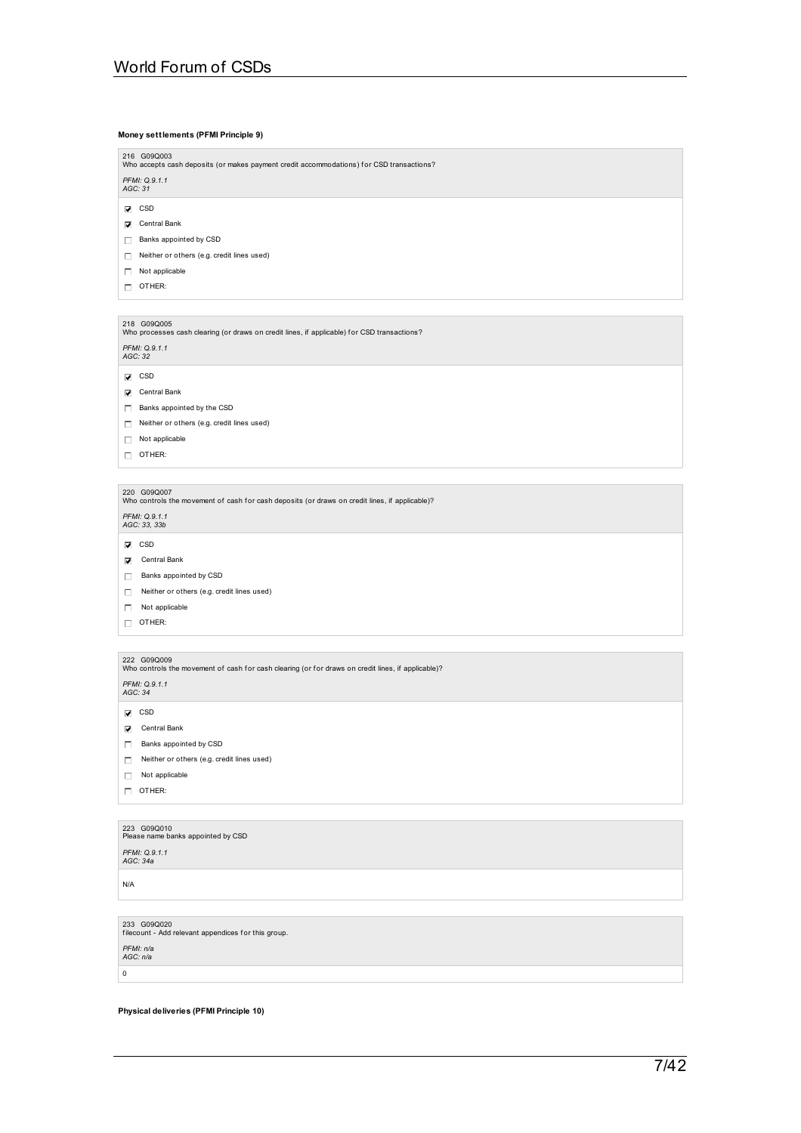### **Money settlements (PFMI Principle 9)**

| 216 G09Q003     |
|-----------------|
|                 |
| Who accepts cas |
|                 |

cash deposits (or makes payment credit accommodations) for CSD transactions? *PFMI: Q.9.1.1 AGC: 31*

- $\nabla$  CSD
- **V** Central Bank
- Banks appointed by CSD
- Neither or others (e.g. credit lines used)
- $\Box$  Not applicable
- $\Box$  OTHER:

## 218 G09Q005<br>Who processes cash clearing (or draws on credit lines, if applicable) for CSD transactions?

*PFMI: Q.9.1.1 AGC: 32*

- 
- $\overline{\mathbf{V}}$  CSD
- Central Bank
- Banks appointed by the CSD
- $\Box$  Neither or others (e.g. credit lines used)
- Not applicable
- OTHER:

220 G09Q007<br>Who controls the movement of cash for cash deposits (or draws on credit lines, if applicable)?

*PFMI: Q.9.1.1 AGC: 33, 33b*

- $\nabla$  CSD
- Central Bank
- Banks appointed by CSD
- Neither or others (e.g. credit lines used)
- $\Box$  Not applicable
- OTHER:

222 G09Q009<br>Who controls the movement of cash for cash clearing (or for draws on credit lines, if applicable)?

*PFMI: Q.9.1.1 AGC: 34*

- $\overline{\mathbf{V}}$  CSD
- Central Bank
- Banks appointed by CSD
- Neither or others (e.g. credit lines used)
- $\Box$  Not applicable
- $\Box$  OTHER:

# 223 G09Q010<br>Please name banks appointed by CSD

*PFMI: Q.9.1.1 AGC: 34a*

N/A

233 G09Q020 f ilecount - Add relevant appendices f or this group. *PFMI: n/a AGC: n/a*

 $\mathbf 0$ 

### **Physical deliveries (PFMI Principle 10)**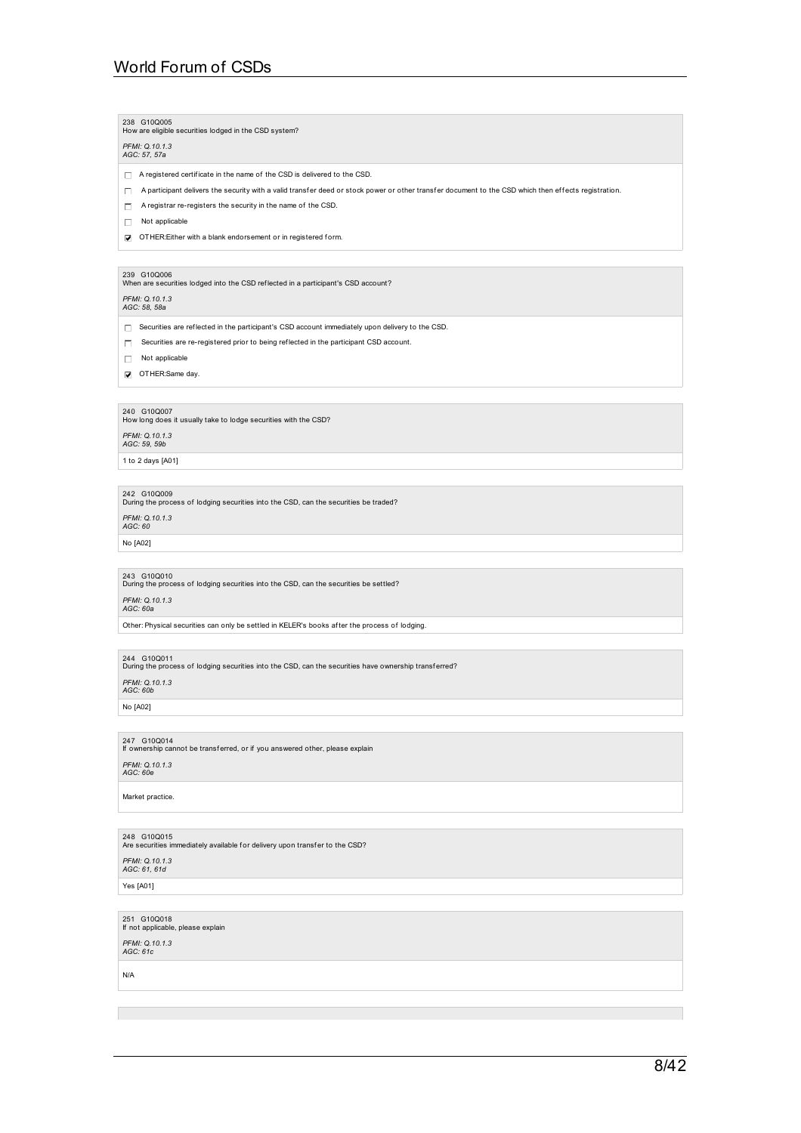### 238 G10Q005 How are eligible securities lodged in the CSD system?

# *PFMI: Q.10.1.3 AGC: 57, 57a*

 $\Box$  A registered certificate in the name of the CSD is delivered to the CSD.

 $\Box$  A participant delivers the security with a valid transfer deed or stock power or other transfer document to the CSD which then effects registration.

 $\Box$  A registrar re-registers the security in the name of the CSD.

 $\Box$  Not applicable

OTHER:Either with a blank endorsement or in registered form.

239 G10Q006<br>When are securities lodged into the CSD reflected in a participant's CSD account?

## *PFMI: Q.10.1.3 AGC: 58, 58a*

- $\Box$  Securities are reflected in the participant's CSD account immediately upon delivery to the CSD.
- Securities are re-registered prior to being ref lected in the participant CSD account.
- $\Box$  Not applicable
- OTHER:Same day.

240 G10Q007<br>How long does it usually take to lodge securities with the CSD?

# *PFMI: Q.10.1.3 AGC: 59, 59b*

1 to 2 days [A01]

242 G10Q009<br>During the process of lodging securities into the CSD, can the securities be traded? *PFMI: Q.10.1.3 AGC: 60*

### No [A02]

243 G10Q010<br>During the process of lodging securities into the CSD, can the securities be settled?

## *PFMI: Q.10.1.3 AGC: 60a*

Other: Physical securities can only be settled in KELER's books af ter the process of lodging.

244 G10Q011<br>During the process of lodging securities into the CSD, can the securities have ownership transf erred?

*PFMI: Q.10.1.3 AGC: 60b*

No [A02]

# 247 G10Q014 If ownership cannot be transf erred, or if you answered other, please explain

## *PFMI: Q.10.1.3 AGC: 60e*

Market practice.

248  $\,$  G10Q015<br>Are securities immediately available for delivery upon transfer to the CSD?

*PFMI: Q.10.1.3 AGC: 61, 61d*

### Yes [A01]

251 G10Q018 If not applicable, please explain

*PFMI: Q.10.1.3 AGC: 61c*

### N/A

# $8/42$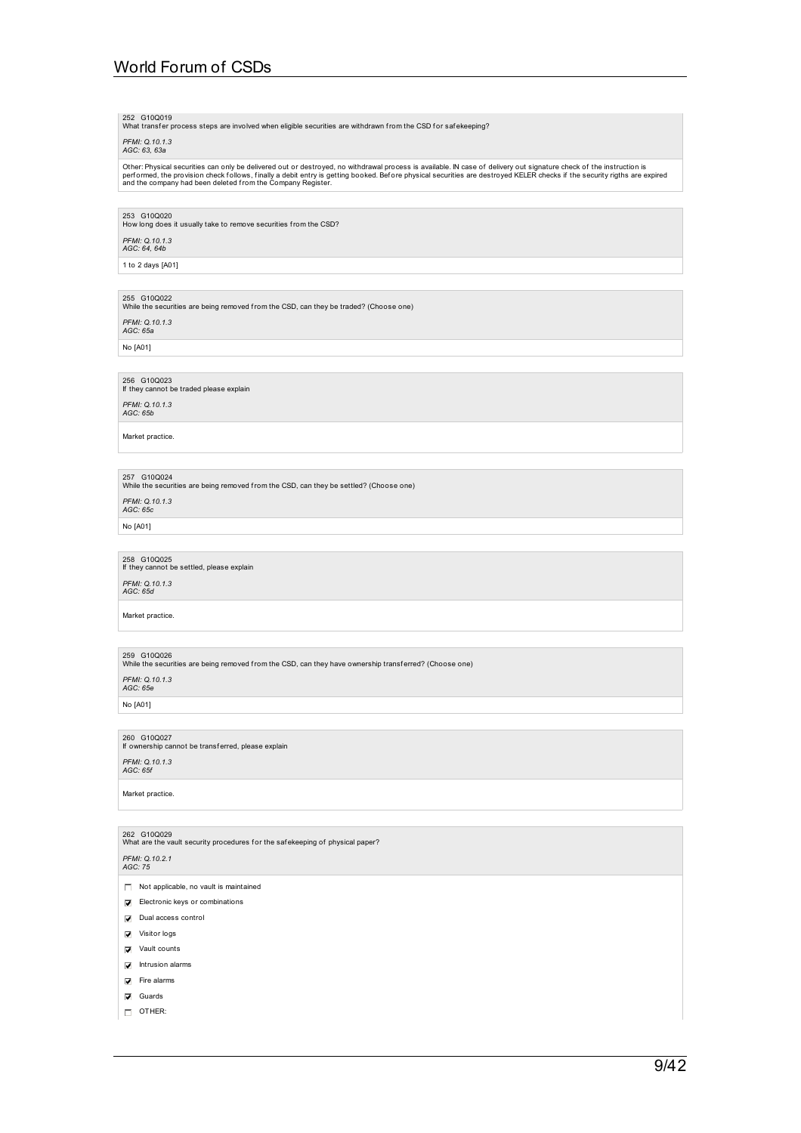252 G10Q019<br>What transfer process steps are involved when eligible securities are withdrawn from the CSD for safekeeping?

## *PFMI: Q.10.1.3 AGC: 63, 63a*

Other: Physical securities can only be delivered out or destroyed, no withdrawal process is available. IN case of delivery out signature check of the instruction is<br>performed, the provision check follows, finally a debit e

### 253 G10Q020

How long does it usually take to remove securities from the CSD?

*PFMI: Q.10.1.3 AGC: 64, 64b*

1 to 2 days [A01]

255 G10Q022<br>While the securities are being removed from the CSD, can they be traded? (Choose one)

*PFMI: Q.10.1.3 AGC: 65a*

No [A01]

256 G10Q023 If they cannot be traded please explain

*PFMI: Q.10.1.3 AGC: 65b*

Market practice.

257 G10Q024<br>While the securities are being removed from the CSD, can they be settled? (Choose one)

*PFMI: Q.10.1.3 AGC: 65c*

No [A01]

# 258 G10Q025 If they cannot be settled, please explain

## *PFMI: Q.10.1.3 AGC: 65d*

Market practice.

259 G10Q026<br>While the securities are being removed from the CSD, can they have ownership transferred? (Choose one)

*PFMI: Q.10.1.3 AGC: 65e*

No [A01]

260 G10Q027 If ownership cannot be transf erred, please explain

Not applicable, no vault is maintained **Electronic keys or combinations** Dual access control **Visitor logs Vault** counts  $\overline{\mathbf{V}}$  Intrusion alarms

262 G10Q029<br>What are the vault security procedures for the safekeeping of physical paper?

*PFMI: Q.10.1.3 AGC: 65f*

Market practice.

*PFMI: Q.10.2.1 AGC: 75*

# $\overline{\mathbf{V}}$  Fire alarms **V** Guards

OTHER: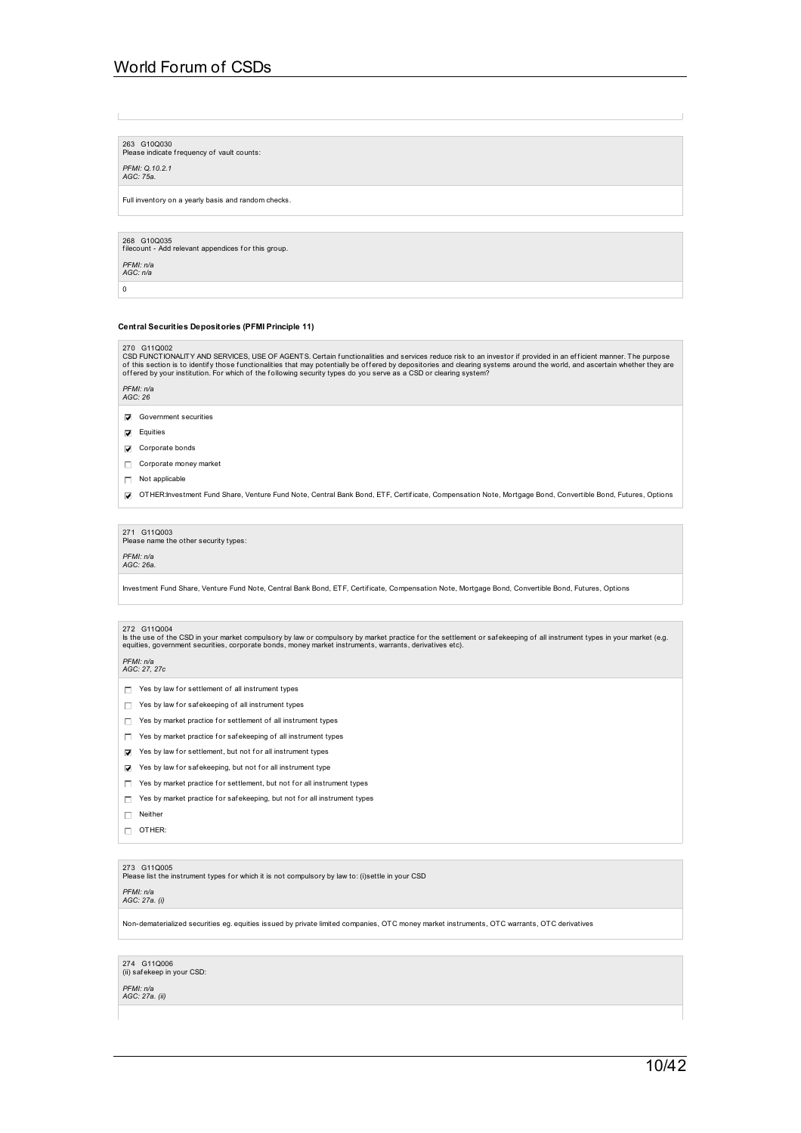263 G10Q030 Please indicate frequency of vault counts:

# *PFMI: Q.10.2.1 AGC: 75a.*

Full inventory on a yearly basis and random checks.

268 G10Q035 f ilecount - Add relevant appendices f or this group.

## *PFMI: n/a AGC: n/a*

0

### **Central Securities Depositories (PFMI Principle 11)**

270 G11Q002<br>CSD FUNCTIONALITY AND SERVICES, USE OF AGENTS. Certain functionalities and services reduce risk to an investor if provided in an efficient manner. The purpose<br>of this section is to identify those functionalitie

## *PFMI: n/a AGC: 26*

Government securities

- **D** Equities
- **V** Corporate bonds
- Corporate money market
- $\Box$  Not applicable
- OTHER:Investment Fund Share, Venture Fund Note, Central Bank Bond, ETF, Certif icate, Compensation Note, Mortgage Bond, Convertible Bond, Futures, Options

271 G11Q003<br>Please name the other security types:

## *PFMI: n/a AGC: 26a.*

Investment Fund Share, Venture Fund Note, Central Bank Bond, ETF, Certif icate, Compensation Note, Mortgage Bond, Convertible Bond, Futures, Options

### 272 G11Q004

ls the use of the CSD in your market compulsory by law or compulsory by market practice for the settlement or safekeeping of all instrument types in your market (e.g.<br>equities, government securities, corporate bonds, money

*PFMI: n/a AGC: 27, 27c*

- $\Box$  Yes by law for settlement of all instrument types
- $\Box$  Yes by law for safekeeping of all instrument types
- $\Box$  Yes by market practice for settlement of all instrument types
- $\Box$  Yes by market practice for safekeeping of all instrument types
- $\triangledown$  Yes by law for settlement, but not for all instrument types
- $\triangledown$  Yes by law for safekeeping, but not for all instrument type
- $\Box$  Yes by market practice for settlement, but not for all instrument types
- $\Box$  Yes by market practice for safekeeping, but not for all instrument types
- □ Neither
- $\Box$  OTHER:

273 G11Q005<br>Please list the instrument types for which it is not compulsory by law to: (i)settle in your CSD

### *PFMI: n/a AGC: 27a. (i)*

Non-dematerialized securities eg. equities issued by private limited companies, OTC money market instruments, OTC warrants, OTC derivatives

274 G11Q006 (ii) saf ekeep in your CSD:

*PFMI: n/a AGC: 27a. (ii)*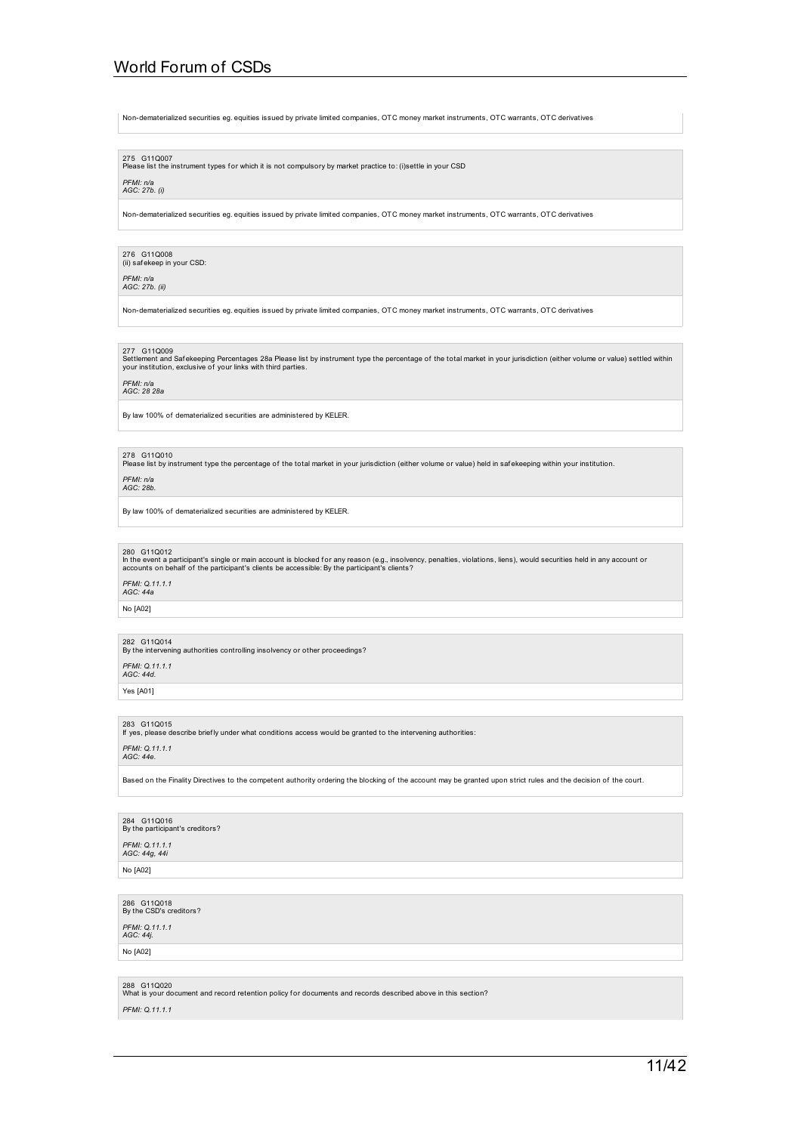Non-dematerialized securities eg. equities issued by private limited companies, OTC money market instruments, OTC warrants, OTC derivatives

275 G11Q007<br>Please list the instrument types for which it is not compulsory by market practice to: (i)settle in your CSD

## *PFMI: n/a AGC: 27b. (i)*

Non-dematerialized securities eg. equities issued by private limited companies, OTC money market instruments, OTC warrants, OTC derivatives

## 276 G11Q008 (ii) saf ekeep in your CSD:

*PFMI: n/a AGC: 27b. (ii)*

Non-dematerialized securities eg. equities issued by private limited companies, OTC money market instruments, OTC warrants, OTC derivatives

277 G11Q009<br>Settlement and Safekeeping Percentages 28a Please list by instrument type the percentage of the total market in your jurisdiction (either volume or value) settled within<br>your institution, exclusive of your link

## *PFMI: n/a AGC: 28 28a*

By law 100% of dematerialized securities are administered by KELER.

### 278 G110010

Please list by instrument type the percentage of the total market in your jurisdiction (either volume or value) held in saf ekeeping within your institution.

## *PFMI: n/a AGC: 28b.*

By law 100% of dematerialized securities are administered by KELER.

### 280 G11Q012

In the event a participant's single or main account is blocked for any reason (e.g., insolvency, penalties, violations, liens), would securities held in any account or<br>accounts on behalf of the participant's clients be acc

## *PFMI: Q.11.1.1 AGC: 44a*

No [A02]

# 282 G11Q014<br>By the intervening authorities controlling insolvency or other proceedings?

*PFMI: Q.11.1.1 AGC: 44d.*

Yes [A01]

## 283 G11Q015 If yes, please describe brief ly under what conditions access would be granted to the intervening authorities:

*PFMI: Q.11.1.1*

### *AGC: 44e.*

Based on the Finality Directives to the competent authority ordering the blocking of the account may be granted upon strict rules and the decision of the court.

284 G11Q016 By the participant's creditors?

*PFMI: Q.11.1.1 AGC: 44g, 44i*

No [A02]

286 G11Q018<br>By the CSD's creditors?

*PFMI: Q.11.1.1 AGC: 44j.*

No [A02]

288 G11Q020<br>What is your document and record retention policy for documents and records described above in this section? *PFMI: Q.11.1.1*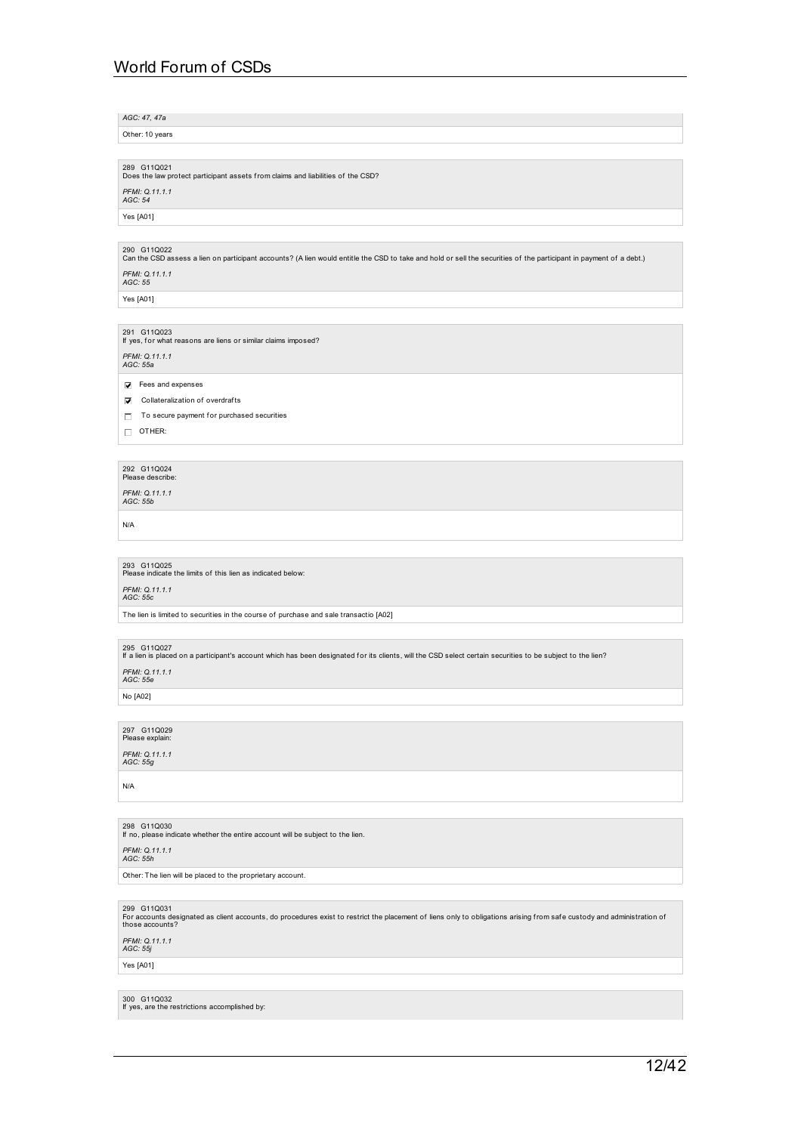*AGC: 47, 47a*

Other: 10 years

289 G11Q021<br>Does the law protect participant assets from claims and liabilities of the CSD? *PFMI: Q.11.1.1 AGC: 54*

Yes [A01]

290 G11Q022<br>Can the CSD assess a lien on participant accounts? (A lien would entitle the CSD to take and hold or sell the securities of the participant in payment of a debt.)

*PFMI: Q.11.1.1 AGC: 55*

Yes [A01]

291 G11Q023 If yes, f or what reasons are liens or similar claims imposed? *PFMI: Q.11.1.1 AGC: 55a*

Fees and expenses

 $\nabla$  Collateralization of overdrafts

 $\Box$  To secure payment for purchased securities

 $\Box$  OTHER:

292 G11Q024<br>Please describe:

*PFMI: Q.11.1.1 AGC: 55b*

N/A

293 G11Q025<br>Please indicate the limits of this lien as indicated below:

*PFMI: Q.11.1.1 AGC: 55c*

The lien is limited to securities in the course of purchase and sale transactio [A02]

295 G11Q027 If a lien is placed on a participant's account which has been designated f or its clients, will the CSD select certain securities to be subject to the lien?

*PFMI: Q.11.1.1 AGC: 55e*

No [A02]

297 G11Q029<br>Please explain: *PFMI: Q.11.1.1 AGC: 55g*

N/A

298 G11Q030 If no, please indicate whether the entire account will be subject to the lien.

*PFMI: Q.11.1.1 AGC: 55h*

Other: The lien will be placed to the proprietary account.

299 G11Q031

For accounts designated as client accounts, do procedures exist to restrict the placement of liens only to obligations arising from safe custody and administration of<br>those accounts?

*PFMI: Q.11.1.1 AGC: 55j*

Yes [A01]

300 G11Q032 If yes, are the restrictions accomplished by: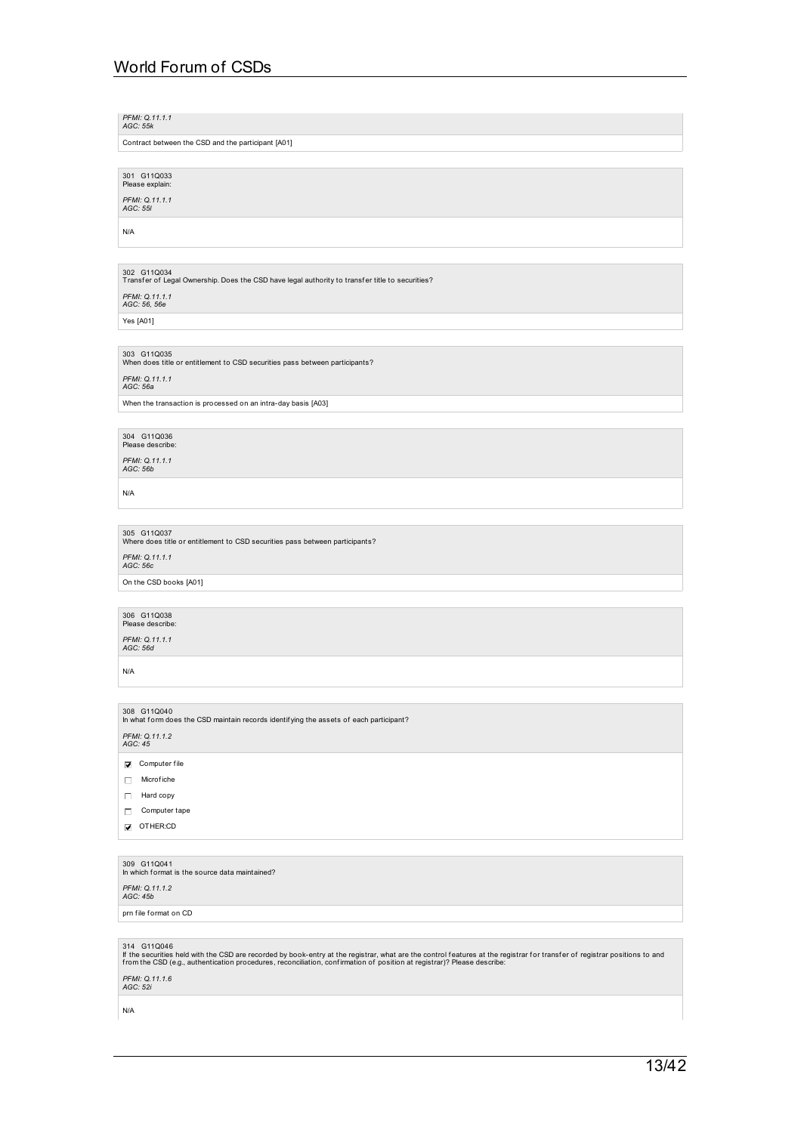*PFMI: Q.11.1.1 AGC: 55k*

Contract between the CSD and the participant [A01]

301 G11Q033<br>Please explain:

*PFMI: Q.11.1.1 AGC: 55l*

N/A

302  $\,$  G11Q034<br>Transfer of Legal Ownership. Does the CSD have legal authority to transfer title to securities?

*PFMI: Q.11.1.1 AGC: 56, 56e*

Yes [A01]

303 G11Q035<br>When does title or entitlement to CSD securities pass between participants? *PFMI: Q.11.1.1 AGC: 56a*

When the transaction is processed on an intra-day basis [A03]

304 G11Q036<br>Please describe: *PFMI: Q.11.1.1 AGC: 56b*

N/A

305 G11Q037<br>Where does title or entitlement to CSD securities pass between participants? *PFMI: Q.11.1.1 AGC: 56c*

On the CSD books [A01]

306 G11Q038<br>Please describe:

*PFMI: Q.11.1.1 AGC: 56d*

N/A

308 G11Q040<br>In what form does the CSD maintain records identifying the assets of each participant? *PFMI: Q.11.1.2 AGC: 45*

 $\overline{\mathbf{V}}$  Computer file

 $\Box$  Microfiche

Hard copy

Computer tape

OTHER:CD

309 G11Q041 In which f ormat is the source data maintained?

*PFMI: Q.11.1.2 AGC: 45b*

prn file format on CD

314 G11Q046<br>If the securities held with the CSD are recorded by book-entry at the registrar, what are the control features at the registrar for transfer of registrar positions to and<br>from the CSD (e.g., authentication pr

*PFMI: Q.11.1.6 AGC: 52i*

N/A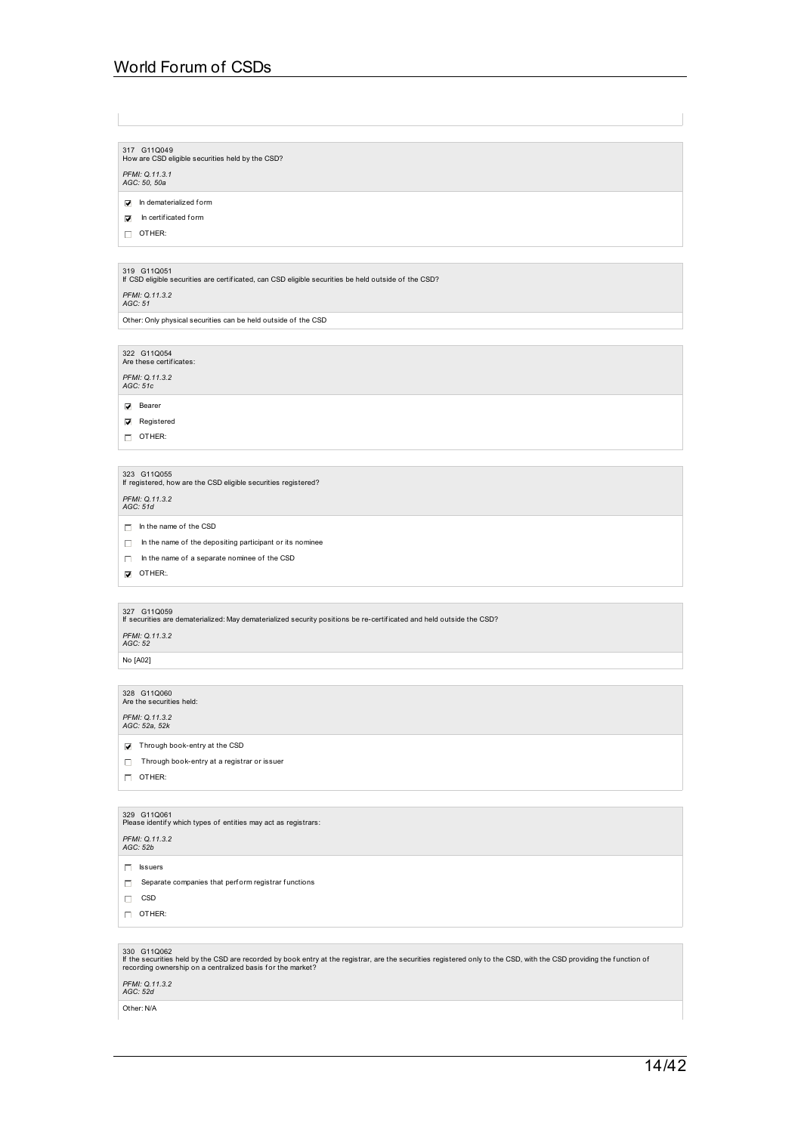317 G11Q049<br>How are CSD eligible securities held by the CSD?

*PFMI: Q.11.3.1 AGC: 50, 50a*

 $\Box$  In dematerialized form

 $\nabla$  In certificated form

OTHER:

319 G11Q051 If CSD eligible securities are certif icated, can CSD eligible securities be held outside of the CSD?

*PFMI: Q.11.3.2 AGC: 51*

Other: Only physical securities can be held outside of the CSD

322 G11Q054<br>Are these certificates: *PFMI: Q.11.3.2 AGC: 51c*

**D** Bearer

**Registered** 

 $\Box$  OTHER:

323 G11Q055 If registered, how are the CSD eligible securities registered?

*PFMI: Q.11.3.2 AGC: 51d*

 $\Box$  In the name of the CSD

- $\Box$  In the name of the depositing participant or its nominee
- $\Box$  In the name of a separate nominee of the CSD

OTHER:

327 G11Q059 If securities are dematerialized: May dematerialized security positions be re-certif icated and held outside the CSD?

*PFMI: Q.11.3.2 AGC: 52*

No [A02]

328 G11Q060<br>Are the securities held:

*PFMI: Q.11.3.2 AGC: 52a, 52k*

Through book-entry at the CSD

Through book-entry at a registrar or issuer

 $\Box$  OTHER:

## 329 G11Q061<br>Please identify which types of entities may act as registrars:

*PFMI: Q.11.3.2 AGC: 52b*

 $\Box$  Issuers

 $\Box$  Separate companies that perform registrar functions

 $\hfill\Box$  CSD

OTHER:

330 G11Q062<br>If the securities held by the CSD are recorded by book entry at the registrar, are the securities registered only to the CSD, with the CSD providing the function of<br>recording ownership on a centralized basis

*PFMI: Q.11.3.2 AGC: 52d*

Other: N/A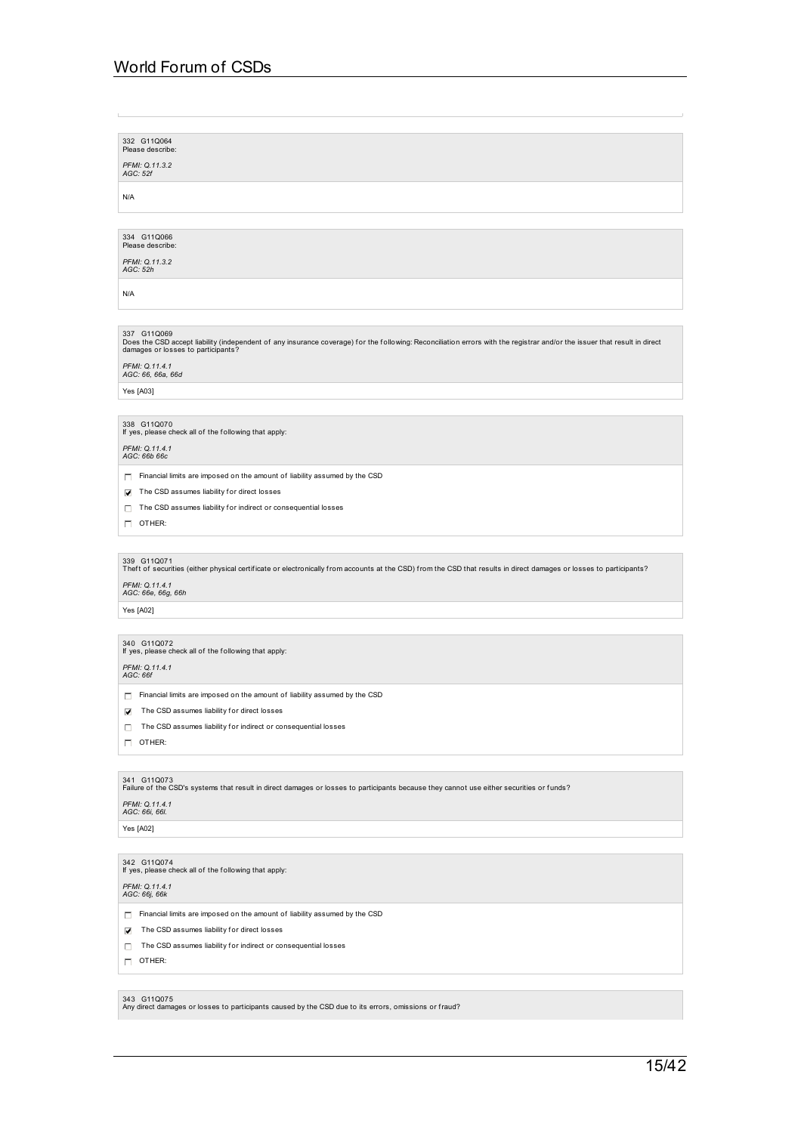332 G11Q064 Please describe: *PFMI: Q.11.3.2 AGC: 52f* N/A

334 G11Q066<br>Please describe:

*PFMI: Q.11.3.2 AGC: 52h*

N/A

# 337 G11Q069

Does the CSD accept liability (independent of any insurance coverage) for the following: Reconciliation errors with the registrar and/or the issuer that result in direct<br>damages or losses to participants?

# *PFMI: Q.11.4.1 AGC: 66, 66a, 66d*

Yes [A03]

338 G11Q070 If yes, please check all of the f ollowing that apply:

## *PFMI: Q.11.4.1 AGC: 66b 66c*

 $\Box$  Financial limits are imposed on the amount of liability assumed by the CSD

 $\triangledown$  The CSD assumes liability for direct losses

- $\Box$  The CSD assumes liability for indirect or consequential losses
- $\Box$  OTHER:

339 G11Q071<br>Theft of securities (either physical certificate or electronically from accounts at the CSD) from the CSD that results in direct damages or losses to participants?

# *PFMI: Q.11.4.1 AGC: 66e, 66g, 66h*

Yes [A02]

## 340 G11Q072 If yes, please check all of the f ollowing that apply:

## *PFMI: Q.11.4.1 AGC: 66f*

 $\Box$  Financial limits are imposed on the amount of liability assumed by the CSD

- $\triangledown$  The CSD assumes liability for direct losses
- $\Box$  The CSD assumes liability for indirect or consequential losses
- $\Box$  OTHER:

341 G11Q073<br>Failure of the CSD's systems that result in direct damages or losses to participants because they cannot use either securities or funds?

## *PFMI: Q.11.4.1 AGC: 66i, 66l.*

Yes [A02]

342 G11Q074 If yes, please check all of the f ollowing that apply:

## *PFMI: Q.11.4.1 AGC: 66j, 66k*

 $\Box$  Financial limits are imposed on the amount of liability assumed by the CSD

- $\triangledown$  The CSD assumes liability for direct losses
- $\Box$  The CSD assumes liability for indirect or consequential losses
- $\Box$  OTHER:

343 G11Q075<br>Any direct damages or losses to participants caused by the CSD due to its errors, omissions or fraud?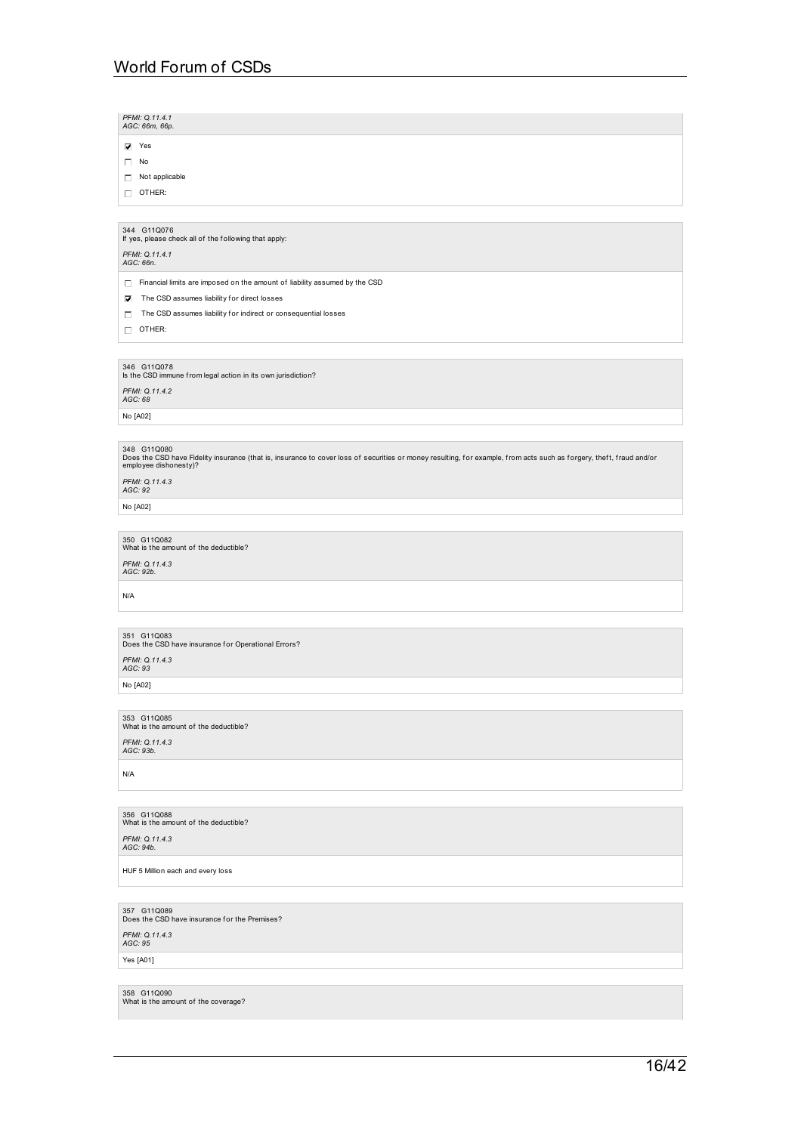*PFMI: Q.11.4.1 AGC: 66m, 66p.*

Yes

 $\Box$  No

Not applicable

 $\Box$  OTHER:

344 G11Q076 If yes, please check all of the f ollowing that apply:

*PFMI: Q.11.4.1 AGC: 66n.*

 $\Box$  Financial limits are imposed on the amount of liability assumed by the CSD

 $\triangledown$  The CSD assumes liability for direct losses

 $\Box$  The CSD assumes liability for indirect or consequential losses

 $\Box$  OTHER:

346 G11Q078 Is the CSD immune from legal action in its own jurisdiction?

*PFMI: Q.11.4.2 AGC: 68*

No [A02]

348 G11Q080<br>Does the CSD have Fidelity insurance (that is, insurance to cover loss of securities or money resulting, for example, from acts such as forgery, theft, fraud and/or<br>employee dishonesty)?

*PFMI: Q.11.4.3 AGC: 92*

No [A02]

350 G11Q082<br>What is the amount of the deductible? *PFMI: Q.11.4.3 AGC: 92b.*

N/A

351 G11Q083<br>Does the CSD have insurance for Operational Errors? *PFMI: Q.11.4.3 AGC: 93*

No [A02]

353 G11Q085<br>What is the amount of the deductible?

*PFMI: Q.11.4.3 AGC: 93b.*

N/A

356 G11Q088<br>What is the amount of the deductible?

*PFMI: Q.11.4.3 AGC: 94b.*

HUF 5 Million each and every loss

357 G11Q089<br>Does the CSD have insurance for the Premises?

*PFMI: Q.11.4.3 AGC: 95*

Yes [A01]

358 G11Q090<br>What is the amount of the coverage?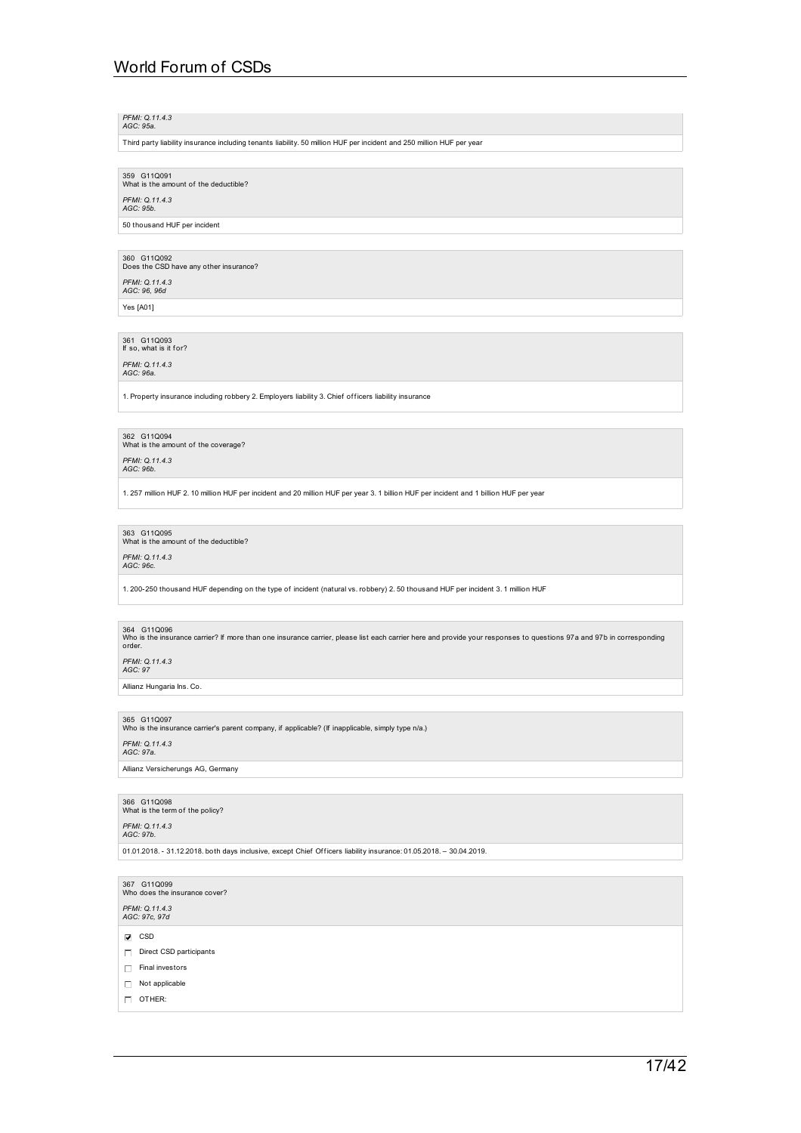## *PFMI: Q.11.4.3 AGC: 95a.*

Third party liability insurance including tenants liability. 50 million HUF per incident and 250 million HUF per year

359 G11Q091<br>What is the amount of the deductible?

*PFMI: Q.11.4.3 AGC: 95b.*

50 thousand HUF per incident

360 G11Q092<br>Does the CSD have any other insurance? *PFMI: Q.11.4.3 AGC: 96, 96d* Yes [A01]

361 G11Q093<br>If so, what is it for?

*PFMI: Q.11.4.3 AGC: 96a.*

1. Property insurance including robbery 2. Employers liability 3. Chief officers liability insurance

362 G11Q094<br>What is the amount of the coverage?

*PFMI: Q.11.4.3 AGC: 96b.*

1. 257 million HUF 2. 10 million HUF per incident and 20 million HUF per year 3. 1 billion HUF per incident and 1 billion HUF per year

363 G11Q095<br>What is the amount of the deductible?

*PFMI: Q.11.4.3 AGC: 96c.*

1. 200-250 thousand HUF depending on the type of incident (natural vs. robbery) 2. 50 thousand HUF per incident 3. 1 million HUF

364 G11Q096<br>Who is the insurance carrier? If more than one insurance carrier, please list each carrier here and provide your responses to questions 97a and 97b in corresponding<br>order.

*PFMI: Q.11.4.3 AGC: 97*

Allianz Hungaria Ins. Co.

365 G11Q097<br>Who is the insurance carrier's parent company, if applicable? (If inapplicable, simply type n/a.)

*PFMI: Q.11.4.3 AGC: 97a.*

Allianz Versicherungs AG, Germany

366 G11Q098<br>What is the term of the policy? *PFMI: Q.11.4.3 AGC: 97b.*

01.01.2018. - 31.12.2018. both days inclusive, except Chief Of f icers liability insurance: 01.05.2018. – 30.04.2019.

367 G11Q099 Who does the insurance cover?

*PFMI: Q.11.4.3 AGC: 97c, 97d*

 $\nabla$  CSD

- $\Box$  Direct CSD participants
- $\Box$  Final investors

 $\Box$  Not applicable

 $\Box$  OTHER: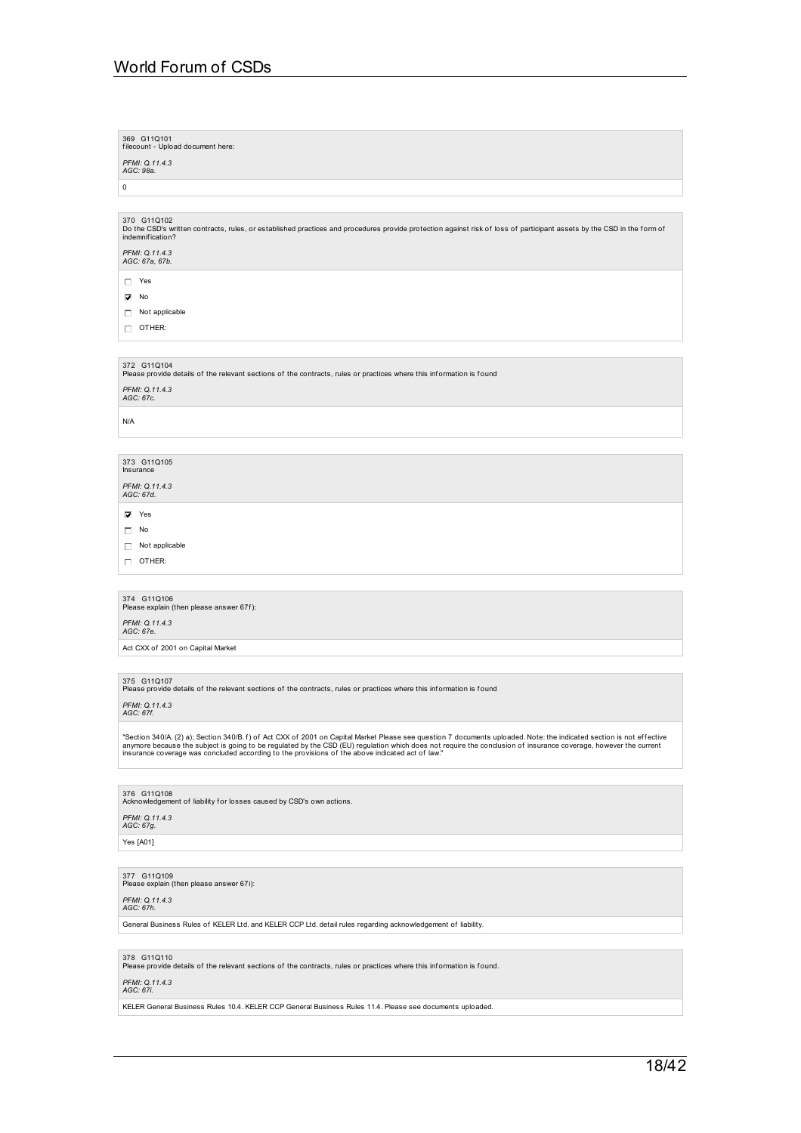369 G11Q101 f ilecount - Upload document here: *PFMI: Q.11.4.3 AGC: 98a.*  $\overline{0}$ 370 G11Q102<br>Do the CSD's written contracts, rules, or established practices and procedures provide protection against risk of loss of participant assets by the CSD in the form of<br>indemnification? *PFMI: Q.11.4.3 AGC: 67a, 67b.* Yes  $\nabla$  No  $\Box$  Not applicable OTHER: 372 G11Q104<br>Please provide details of the relevant sections of the contracts, rules or practices where this information is found *PFMI: Q.11.4.3 AGC: 67c.* N/A 373 G11Q105 Insurance *PFMI: Q.11.4.3 AGC: 67d.*  $\overline{V}$  Yes  $\Box$  No Not applicable  $\Box$  OTHER: 374 G11Q106<br>Please explain (then please answer 67f): *PFMI: Q.11.4.3 AGC: 67e.* Act CXX of 2001 on Capital Market 375 G11Q107<br>Please provide details of the relevant sections of the contracts, rules or practices where this information is found *PFMI: Q.11.4.3 AGC: 67f.* "Section 340/A. (2) a); Section 340/B. f) of Act CXX of 2001 on Capital Market Please see question 7 documents uploaded. Note: the indicated section is not effective<br>anymore because the subject is going to be regulated by 376  $\,$  G11Q108  $\,$  Acknowledgement of liability f or losses caused by CSD's own actions.  $\,$ *PFMI: Q.11.4.3 AGC: 67g.* Yes [A01] 377 G11Q109<br>Please explain (then please answer 67i): *PFMI: Q.11.4.3 AGC: 67h.* General Business Rules of KELER Ltd. and KELER CCP Ltd. detail rules regarding acknowledgement of liability. 378 G11Q110<br>Please provide details of the relevant sections of the contracts, rules or practices where this information is found. *PFMI: Q.11.4.3 AGC: 67i.*

KELER General Business Rules 10.4. KELER CCP General Business Rules 11.4. Please see documents uploaded.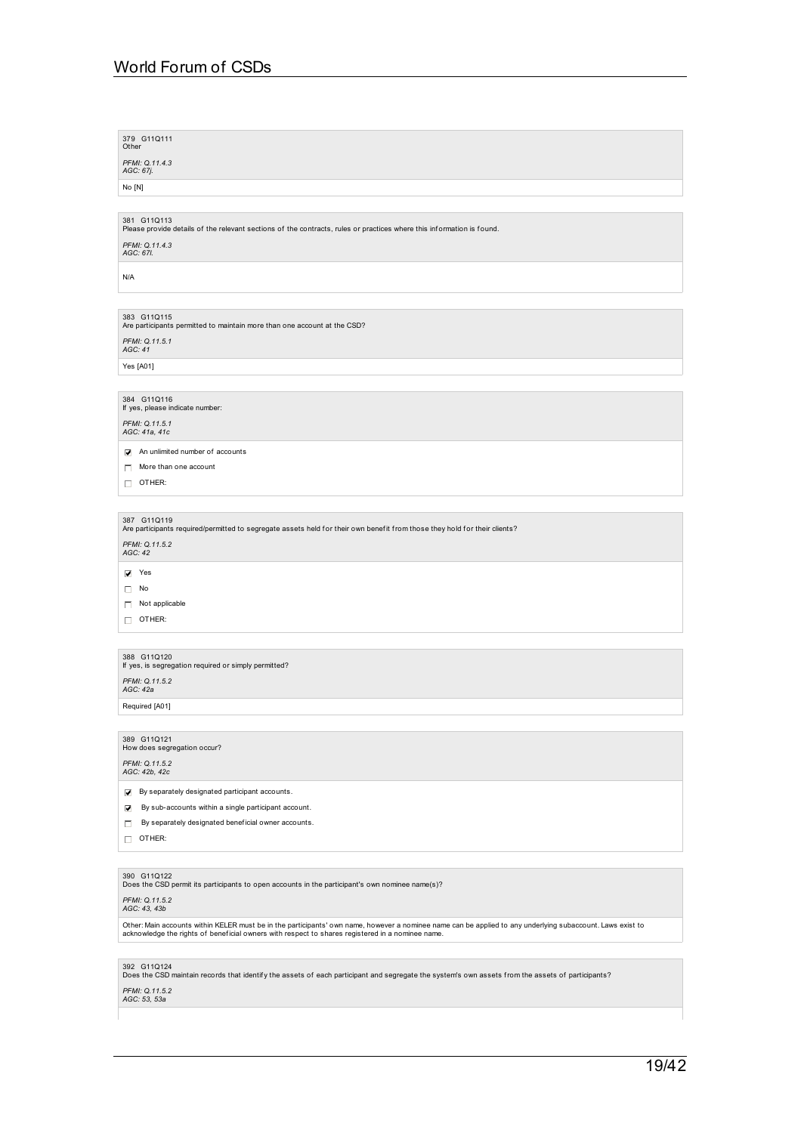| 379 G11Q111<br>Other                                                                                                                                                                                                                                           |
|----------------------------------------------------------------------------------------------------------------------------------------------------------------------------------------------------------------------------------------------------------------|
| PFMI: 0.11.4.3<br>AGC: 67j.                                                                                                                                                                                                                                    |
| No [N]                                                                                                                                                                                                                                                         |
|                                                                                                                                                                                                                                                                |
| 381 G11Q113<br>Please provide details of the relevant sections of the contracts, rules or practices where this information is found.                                                                                                                           |
| PFMI: Q.11.4.3<br>AGC: 67I.                                                                                                                                                                                                                                    |
| N/A                                                                                                                                                                                                                                                            |
|                                                                                                                                                                                                                                                                |
| 383 G11Q115<br>Are participants permitted to maintain more than one account at the CSD?                                                                                                                                                                        |
| PFMI: Q.11.5.1<br>AGC: 41                                                                                                                                                                                                                                      |
| Yes [A01]                                                                                                                                                                                                                                                      |
|                                                                                                                                                                                                                                                                |
| 384 G11Q116<br>If yes, please indicate number:                                                                                                                                                                                                                 |
| PFMI: Q.11.5.1                                                                                                                                                                                                                                                 |
| AGC: 41a, 41c                                                                                                                                                                                                                                                  |
| $\sqrt{\phantom{a}}$ An unlimited number of accounts                                                                                                                                                                                                           |
| $\Box$ More than one account<br>$\Box$ OTHER:                                                                                                                                                                                                                  |
|                                                                                                                                                                                                                                                                |
|                                                                                                                                                                                                                                                                |
| 387 G11Q119<br>Are participants required/permitted to segregate assets held for their own benefit from those they hold for their clients?                                                                                                                      |
| PFMI: Q.11.5.2<br>AGC: 42                                                                                                                                                                                                                                      |
|                                                                                                                                                                                                                                                                |
| $\nabla$ Yes<br>$\Box$ No                                                                                                                                                                                                                                      |
| Not applicable<br>П.                                                                                                                                                                                                                                           |
| $\Box$ OTHER:                                                                                                                                                                                                                                                  |
|                                                                                                                                                                                                                                                                |
| 388 G11Q120<br>If yes, is segregation required or simply permitted?                                                                                                                                                                                            |
| PFMI: Q.11.5.2                                                                                                                                                                                                                                                 |
| AGC: 42a                                                                                                                                                                                                                                                       |
| Required [A01]                                                                                                                                                                                                                                                 |
| 389 G11Q121<br>How does segregation occur?                                                                                                                                                                                                                     |
| PFMI: Q.11.5.2<br>AGC: 42b, 42c                                                                                                                                                                                                                                |
| □ By separately designated participant accounts.                                                                                                                                                                                                               |
| By sub-accounts within a single participant account.<br>☑                                                                                                                                                                                                      |
| By separately designated beneficial owner accounts.<br>□                                                                                                                                                                                                       |
| OTHER:<br>П.                                                                                                                                                                                                                                                   |
|                                                                                                                                                                                                                                                                |
| 390 G11Q122                                                                                                                                                                                                                                                    |
| Does the CSD permit its participants to open accounts in the participant's own nominee name(s)?                                                                                                                                                                |
| PFMI: Q.11.5.2<br>AGC: 43, 43b                                                                                                                                                                                                                                 |
| Other: Main accounts within KELER must be in the participants' own name, however a nominee name can be applied to any underlying subaccount. Laws exist to<br>acknowledge the rights of beneficial owners with respect to shares registered in a nominee name. |

392 G11Q124<br>Does the CSD maintain records that identify the assets of each participant and segregate the system's own assets from the assets of participants?

## *PFMI: Q.11.5.2 AGC: 53, 53a*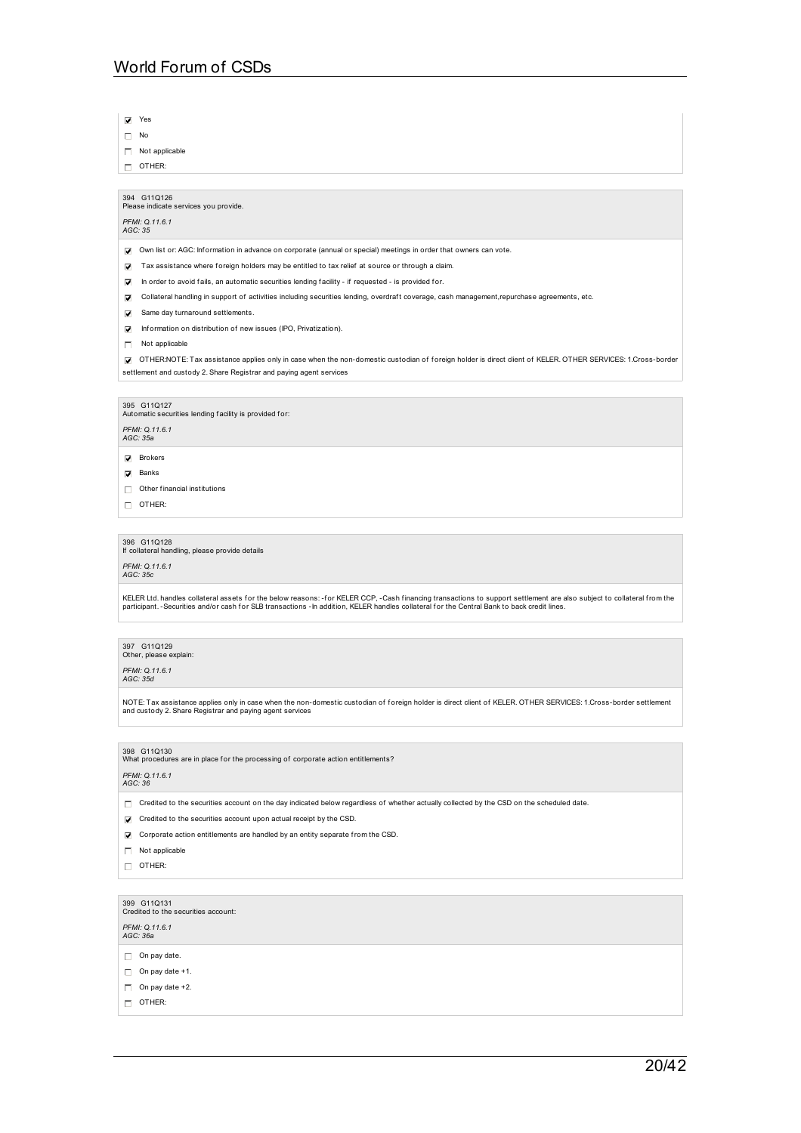Yes

 $\Box$  No

Not applicable

OTHER:

394 G11Q126 Please indicate services you provide.

## *PFMI: Q.11.6.1 AGC: 35*

Own list or: AGC: Inf ormation in advance on corporate (annual or special) meetings in order that owners can vote.

 $\triangledown$  Tax assistance where foreign holders may be entitled to tax relief at source or through a claim.

- $\nabla$  In order to avoid fails, an automatic securities lending facility if requested is provided for.
- Collateral handling in support of activities including securities lending, overdraf t coverage, cash management,repurchase agreements, etc.
- Same day turnaround settlements.
- $\Box$  Information on distribution of new issues (IPO, Privatization).
- Not applicable

OTHER:NOTE: Tax assistance applies only in case when the non-domestic custodian of f oreign holder is direct client of KELER. OTHER SERVICES: 1.Cross-border settlement and custody 2. Share Registrar and paying agent services

### 395 G11Q127

Automatic securities lending facility is provided for:

*PFMI: Q.11.6.1 AGC: 35a*

**D** Brokers

 $\overline{\mathbf{V}}$  Banks

 $\Box$  Other financial institutions

 $\Box$  OTHER:

396 G11Q128 If collateral handling, please provide details *PFMI: Q.11.6.1 AGC: 35c*

KELER Ltd. handles collateral assets for the below reasons: -for KELER CCP, -Cash financing transactions to support settlement are also subject to collateral from the<br>participant. -Securities and/or cash for SLB transactio

397 G11Q129<br>Other, please explain:

*PFMI: Q.11.6.1 AGC: 35d*

NOTE: Tax assistance applies only in case when the non-domestic custodian of foreign holder is direct client of KELER. OTHER SERVICES: 1.Cross-border settlement<br>and custody 2. Share Registrar and paying agent services

## 398 G11Q130<br>What procedures are in place for the processing of corporate action entitlements?

*PFMI: Q.11.6.1 AGC: 36*

Credited to the securities account on the day indicated below regardless of whether actually collected by the CSD on the scheduled date.

- Credited to the securities account upon actual receipt by the CSD.
- Corporate action entitlements are handled by an entity separate from the CSD.
- Not applicable
- $\Box$  OTHER:
- 

399 G11Q131<br>Credited to the securities account:

*PFMI: Q.11.6.1 AGC: 36a*

- $\Box$  On pay date.
- $\Box$  On pay date +1.
- $\Box$  On pay date +2.
- 
- $\Box$  OTHER: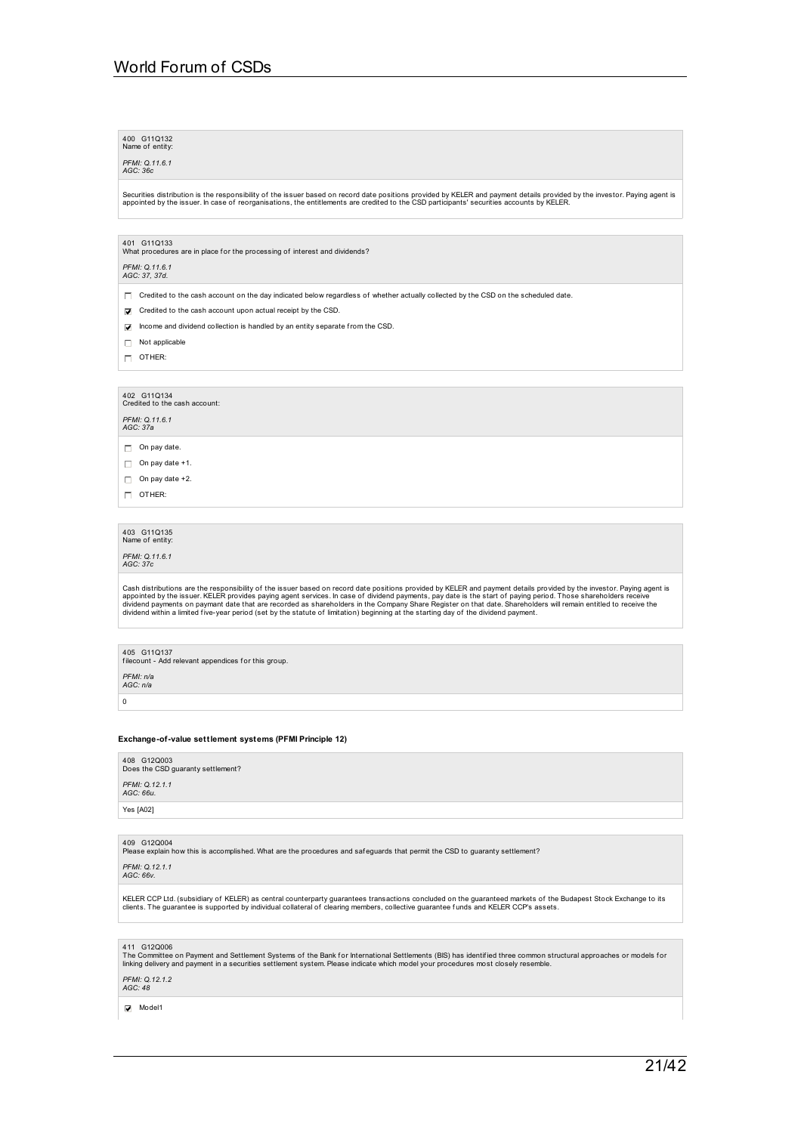| 400 G11Q132     |  |
|-----------------|--|
| Name of entity: |  |

*PFMI: Q.11.6.1 AGC: 36c*

Securities distribution is the responsibility of the issuer based on record date positions provided by KELER and payment details provided by the investor. Paying agent is<br>appointed by the issuer. In case of reorganisations

401 G11Q133<br>What procedures are in place for the processing of interest and dividends?

## *PFMI: Q.11.6.1 AGC: 37, 37d.*

 $\Box$  Credited to the cash account on the day indicated below regardless of whether actually collected by the CSD on the scheduled date.

- Credited to the cash account upon actual receipt by the CSD
- $\nabla$  Income and dividend collection is handled by an entity separate from the CSD.
- $\Box$  Not applicable
- $\Box$  OTHER:

# 402 G11Q134<br>Credited to the cash account:

*PFMI: Q.11.6.1 AGC: 37a*

- $\Box$  On pay date.
- $\Box$  On pay date +1.
- $\Box$  On pay date +2.
- $\Box$  OTHER:

# 403 G11Q135<br>Name of entity:

*PFMI: Q.11.6.1 AGC: 37c*

Cash distributions are the responsibility of the issuer based on record date positions provided by KELER and payment details provided by the investor. Paying agent is<br>appointed by the issuer. KELER provides paying agent se

405 G11Q137 f ilecount - Add relevant appendices f or this group.

*PFMI: n/a AGC: n/a*

 $\overline{0}$ 

### **Exchange-of-value settlement systems (PFMI Principle 12)**

408 G12Q003 Does the CSD guaranty settlement? *PFMI: Q.12.1.1 AGC: 66u.* Yes [A02]

409  $\,$  G12Q004<br>Please explain how this is accomplished. What are the procedures and safeguards that permit the CSD to guaranty settlement?

*PFMI: Q.12.1.1 AGC: 66v.*

KELER CCP Ltd. (subsidiary of KELER) as central counterparty guarantees transactions concluded on the guaranteed markets of the Budapest Stock Exchange to its<br>clients. The guarantee is supported by individual collateral of

411 G12Q006<br>The Committee on Payment and Settlement Systems of the Bank for International Settlements (BIS) has identified three common structural approaches or models for<br>linking delivery and payment in a securities set

## *PFMI: Q.12.1.2 AGC: 48*

Model1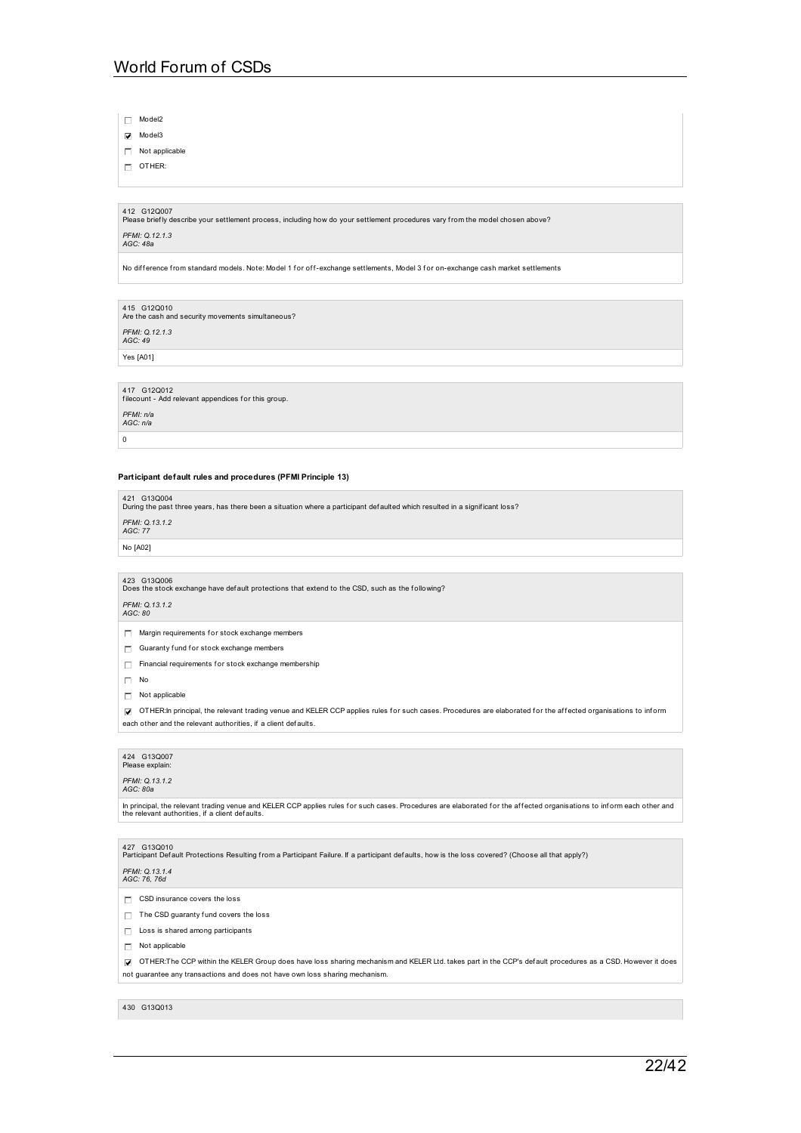Model2

Model3

Not applicable

 $\Box$  OTHER:

412 G12Q007<br>Please briefly describe your settlement process, including how do your settlement procedures vary from the model chosen above?

# *PFMI: Q.12.1.3 AGC: 48a*

No difference from standard models. Note: Model 1 for off-exchange settlements, Model 3 for on-exchange cash market settlements

415 G12Q010<br>Are the cash and security movements simultaneous? *PFMI: Q.12.1.3 AGC: 49*

Yes [A01]

# 417 G12Q012 f ilecount - Add relevant appendices f or this group. *PFMI: n/a AGC: n/a*  $\overline{0}$

### **Participant default rules and procedures (PFMI Principle 13)**

| 421 G13Q004<br>During the past three years, has there been a situation where a participant defaulted which resulted in a significant loss? |
|--------------------------------------------------------------------------------------------------------------------------------------------|
| PFMI: 0.13.1.2<br>AGC: 77                                                                                                                  |
| No [A02]                                                                                                                                   |

423 G13Q006<br>Does the stock exchange have default protections that extend to the CSD, such as the following?

*PFMI: Q.13.1.2 AGC: 80*

 $\Box$  Margin requirements for stock exchange members

 $\Box$  Guaranty fund for stock exchange members

 $\Box$  Financial requirements for stock exchange membership

 $\Box$  No

Not applicable

OTHER:In principal, the relevant trading venue and KELER CCP applies rules for such cases. Procedures are elaborated for the affected organisations to inform each other and the relevant authorities, if a client defaults.

### 424 G13Q007 Please explair

*PFMI: Q.13.1.2 AGC: 80a*

In principal, the relevant trading venue and KELER CCP applies rules for such cases. Procedures are elaborated for the affected organisations to inform each other and<br>the relevant authorities, if a client defaults.

427 G13Q010<br>Participant Default Protections Resulting from a Participant Failure. If a participant defaults, how is the loss covered? (Choose all that apply?)

## *PFMI: Q.13.1.4 AGC: 76, 76d*

- $\Box$  CSD insurance covers the loss
- $\Box$  The CSD guaranty fund covers the loss
- Loss is shared among participants
- $\Box$  Not applicable

OTHER:The CCP within the KELER Group does have loss sharing mechanism and KELER Ltd. takes part in the CCP's def ault procedures as a CSD. However it does not guarantee any transactions and does not have own loss sharing mechanism.

### 430 G13Q013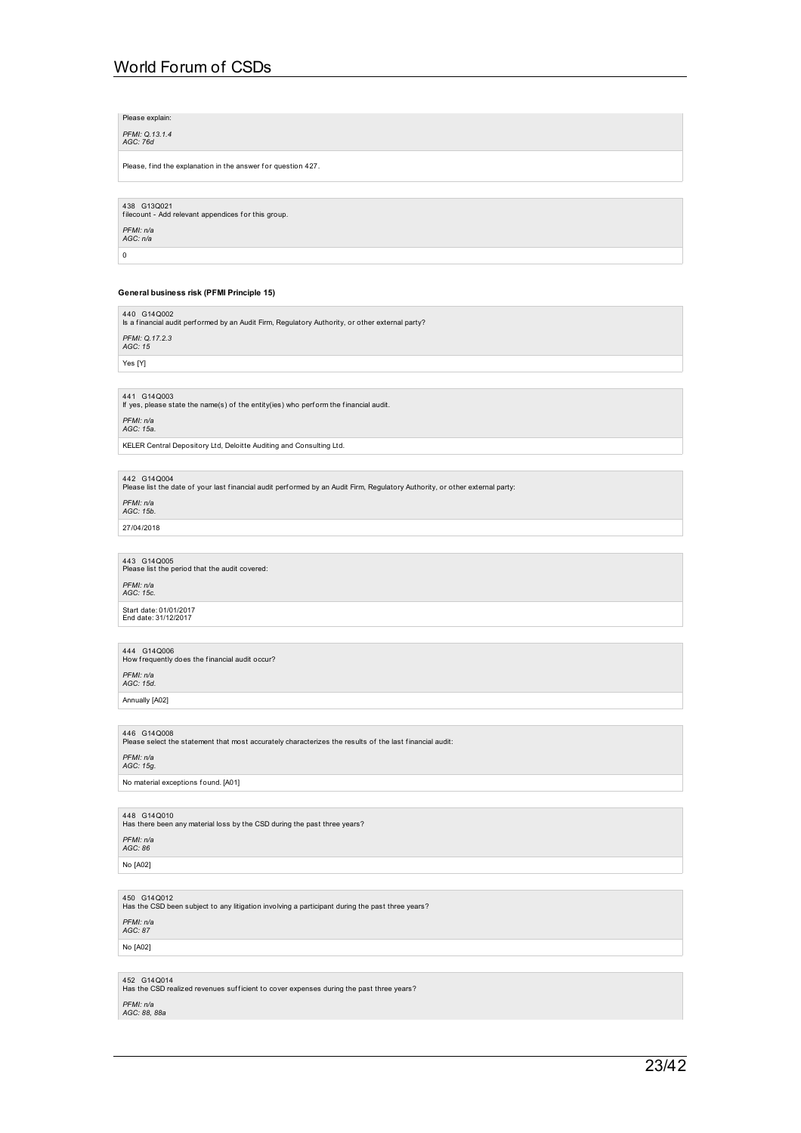Please, find the explanation in the answer for question 427. 438 G13Q021 f ilecount - Add relevant appendices f or this group. *PFMI: n/a AGC: n/a*  $\overline{0}$ **General business risk (PFMI Principle 15)** 440 G14Q002 Is a f inancial audit perf ormed by an Audit Firm, Regulatory Authority, or other external party? *PFMI: Q.17.2.3 AGC: 15* Yes [Y] 441 G14Q003 If yes, please state the name(s) of the entity(ies) who perf orm the financial audit. *PFMI: n/a AGC: 15a.* KELER Central Depository Ltd, Deloitte Auditing and Consulting Ltd. 442 G14Q004<br>Please list the date of your last financial audit performed by an Audit Firm, Regulatory Authority, or other external party: *PFMI: n/a AGC: 15b.* 27/04/2018 443 G14Q005<br>Please list the period that the audit covered: *PFMI: n/a AGC: 15c.* Start date: 01/01/2017 End date: 31/12/2017 444 G14Q006<br>How frequently does the financial audit occur? *PFMI: n/a AGC: 15d.* Annually [A02] *PFMI: n/a AGC: 15g.* No material exceptions found. [A01] 448 G14Q010<br>Has there been any material loss by the CSD during the past three years?

450 G14Q012<br>Has the CSD been subject to any litigation involving a participant during the past three years?

446 G14Q008<br>Please select the statement that most accurately characterizes the results of the last financial audit:

452 G14Q014<br>Has the CSD realized revenues sufficient to cover expenses during the past three years?

*PFMI: n/a AGC: 86* No [A02]

*PFMI: n/a AGC: 87* No [A02]

*PFMI: n/a AGC: 88, 88a*

Please explain: *PFMI: Q.13.1.4 AGC: 76d*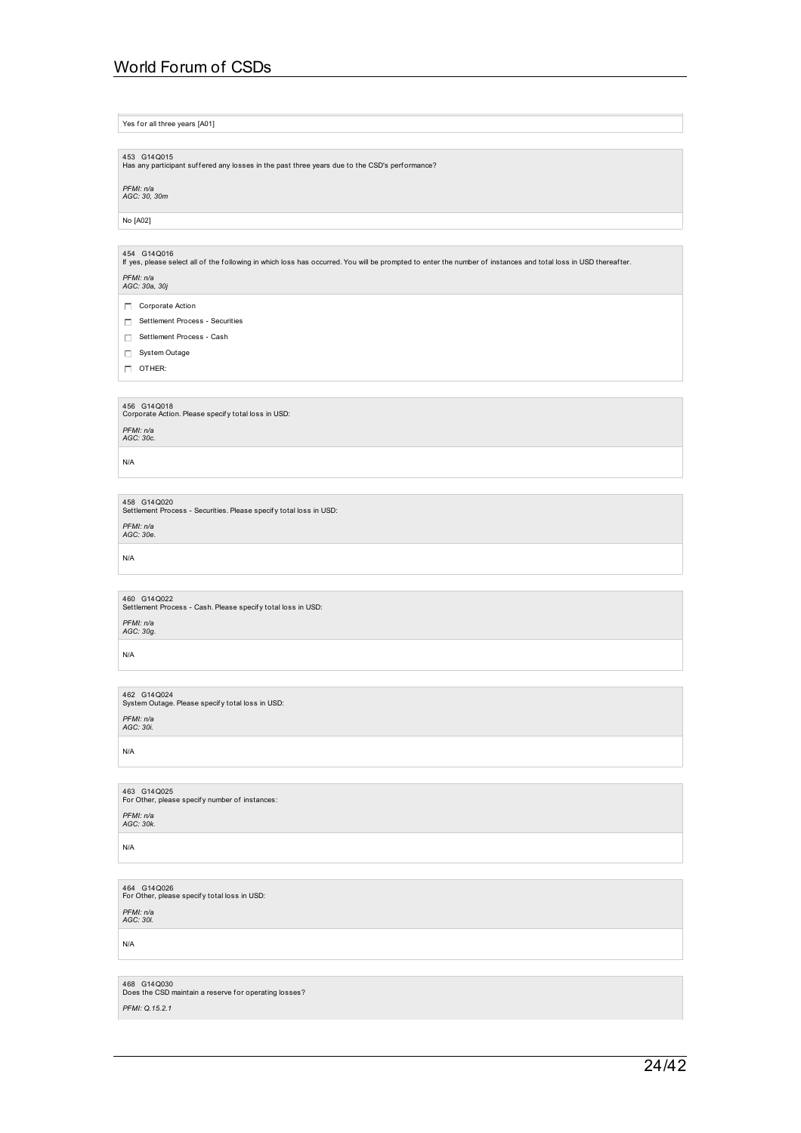Yes for all three years [A01] 453 G14Q015<br>Has any participant suffered any losses in the past three years due to the CSD's perf ormance? *PFMI: n/a AGC: 30, 30m* No [A02] 454 G14Q016 If yes, please select all of the following in which loss has occurred. You will be prompted to enter the number of instances and total loss in USD thereaf ter. *PFMI: n/a AGC: 30a, 30j* Corporate Action Settlement Process - Securities □ Settlement Process - Cash System Outage  $\Box$  OTHER: 456 G14Q018<br>Corporate Action. Please specify total loss in USD: *PFMI: n/a AGC: 30c.* N/A 458  $\,$  G14Q020<br>Settlement Process - Securities. Please specify total loss in USD: *PFMI: n/a AGC: 30e.* N/A 460  $\,$  G14Q022<br>Settlement Process - Cash. Please specify total loss in USD: *PFMI: n/a AGC: 30g.* N/A 462 G14Q024<br>System Outage. Please specify total loss in USD: *PFMI: n/a AGC: 30i.*

N/A

463 G14Q025<br>For Other, please specify number of instances: *PFMI: n/a AGC: 30k.*

N/A

464 G14Q026<br>For Other, please specify total loss in USD:

*PFMI: n/a AGC: 30l.*

N/A

468 G14Q030<br>Does the CSD maintain a reserve for operating losses? *PFMI: Q.15.2.1*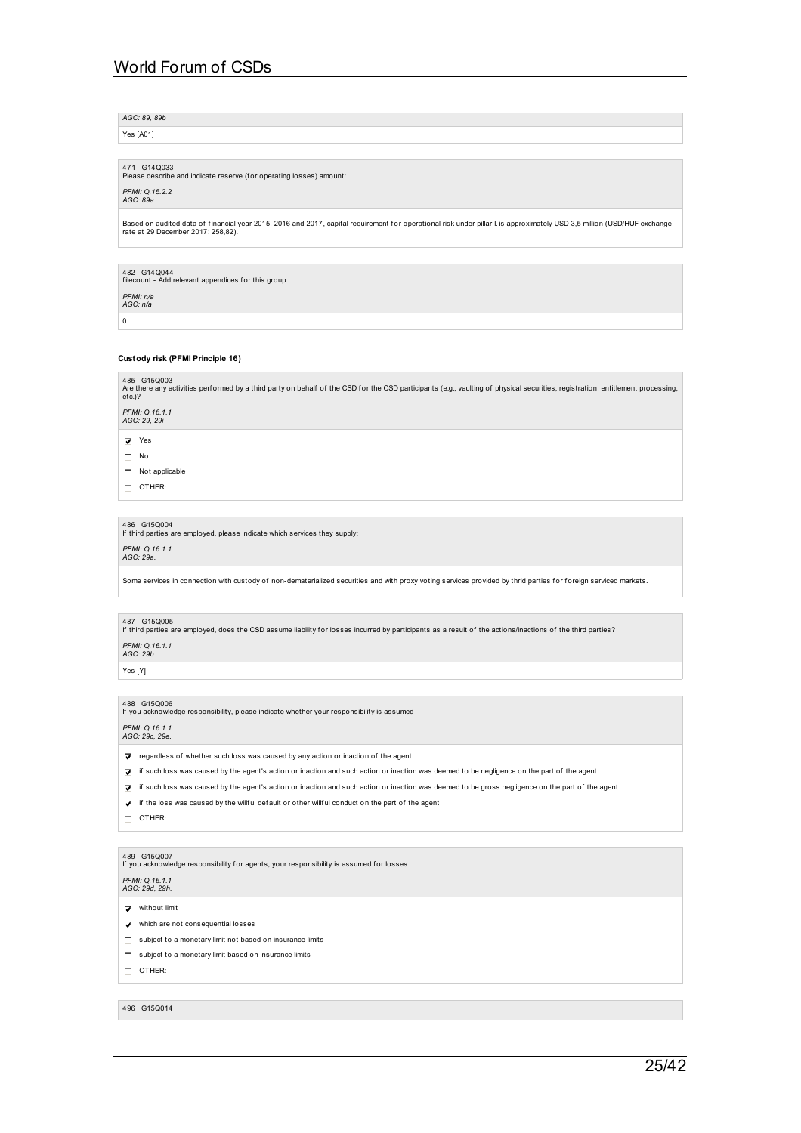*AGC: 89, 89b*

Yes [A01]

471 G14Q033<br>Please describe and indicate reserve (for operating losses) amount: *PFMI: Q.15.2.2 AGC: 89a.*

Based on audited data of financial year 2015, 2016 and 2017, capital requirement for operational risk under pillar I. is approximately USD 3,5 million (USD/HUF exchange<br>rate at 29 December 2017: 258,82).

482 G14Q044 f ilecount - Add relevant appendices f or this group.

*PFMI: n/a AGC: n/a* 0

### **Custody risk (PFMI Principle 16)**

| 485 G15Q003<br>Are there any activities performed by a third party on behalf of the CSD for the CSD participants (e.g., vaulting of physical securities, registration, entitlement processing,<br>etc.)? |  |
|----------------------------------------------------------------------------------------------------------------------------------------------------------------------------------------------------------|--|
| PFMI: 0.16.1.1<br>AGC: 29, 29i                                                                                                                                                                           |  |
| Yes<br>☑                                                                                                                                                                                                 |  |
| No<br>п                                                                                                                                                                                                  |  |
| Not applicable                                                                                                                                                                                           |  |
|                                                                                                                                                                                                          |  |

 $\Box$  OTHER:

486 G15Q004 If third parties are employed, please indicate which services they supply:

*PFMI: Q.16.1.1 AGC: 29a.*

Some services in connection with custody of non-dematerialized securities and with proxy voting services provided by thrid parties for foreign serviced markets.

487  $\,$  G15Q005<br>If third parties are employed, does the CSD assume liability for losses incurred by participants as a result of the actions/inactions of the third parties?

*PFMI: Q.16.1.1 AGC: 29b.*

Yes [Y]

488 G15Q006 If you acknowledge responsibility, please indicate whether your responsibility is assumed

*PFMI: Q.16.1.1 AGC: 29c, 29e.*

 $\triangledown$  regardless of whether such loss was caused by any action or inaction of the agent

- if such loss was caused by the agent's action or inaction and such action or inaction was deemed to be negligence on the part of the agent
- if such loss was caused by the agent's action or inaction and such action or inaction was deemed to be gross negligence on the part of the agent

 $\triangledown$  if the loss was caused by the willful default or other willful conduct on the part of the agent

 $\Box$  OTHER:

489 G15Q007 If you acknowledge responsibility f or agents, your responsibility is assumed for losses

*PFMI: Q.16.1.1 AGC: 29d, 29h.*

 $\nabla$  without limit

- $\nabla$  which are not consequential losses
- $\Box$  subject to a monetary limit not based on insurance limits
- $\Box$  subject to a monetary limit based on insurance limits

OTHER:

496 G15Q014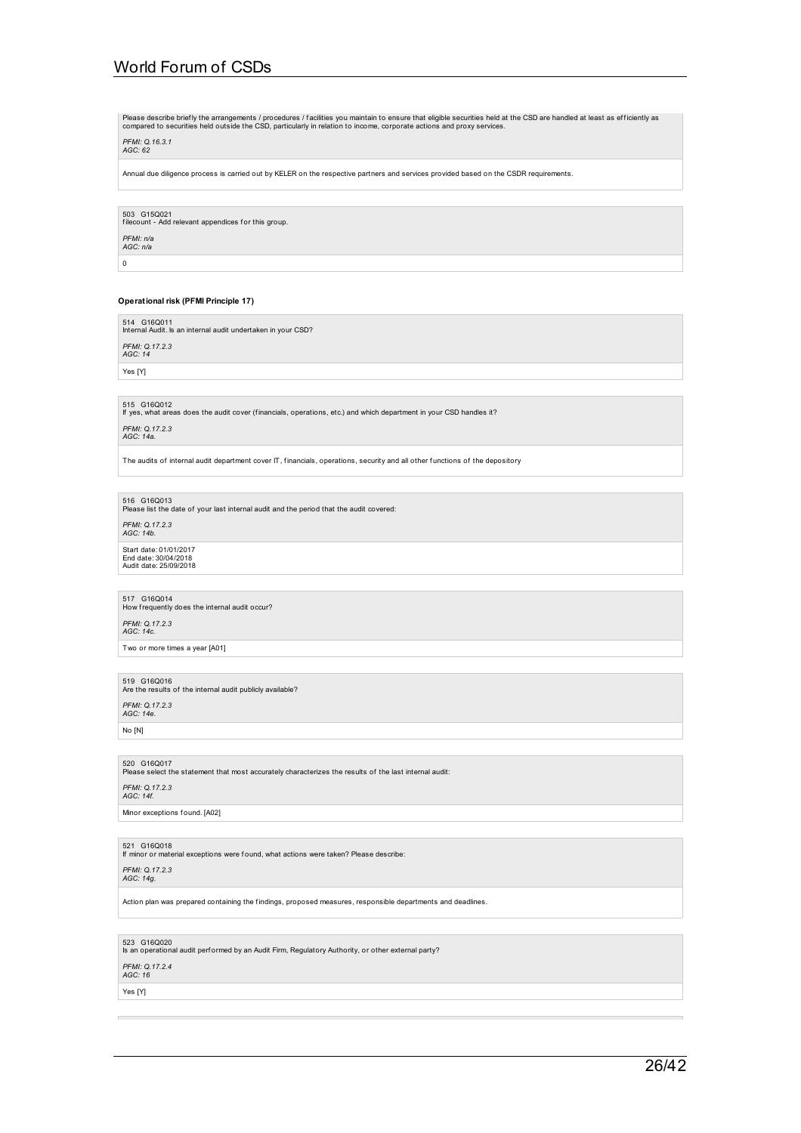Please describe briefly the arrangements / procedures / facilities you maintain to ensure that eligible securities held at the CSD are handled at least as efficiently as<br>compared to securities held outside the CSD, particu

## *PFMI: Q.16.3.1 AGC: 62*

Annual due diligence process is carried out by KELER on the respective partners and services provided based on the CSDR requirements.

503 G15Q021 f ilecount - Add relevant appendices f or this group. *PFMI: n/a AGC: n/a*

 $\overline{0}$ 

### **Operational risk (PFMI Principle 17)**

514 G16Q011 Internal Audit. Is an internal audit undertaken in your CSD? *PFMI: Q.17.2.3 AGC: 14*

Yes [Y]

515 G16Q012 If yes, what areas does the audit cover (f inancials, operations, etc.) and which department in your CSD handles it?

*PFMI: Q.17.2.3 AGC: 14a.*

The audits of internal audit department cover IT, financials, operations, security and all other functions of the depository

516 G16Q013<br>Please list the date of your last internal audit and the period that the audit covered:

*PFMI: Q.17.2.3 AGC: 14b.*

Start date: 01/01/2017<br>End date: 30/04/2018<br>Audit date: 25/09/2018

517 G16Q014<br>How frequently does the internal audit occur? *PFMI: Q.17.2.3 AGC: 14c.* Two or more times a year [A01]

519 G16Q016<br>Are the results of the internal audit publicly available? *PFMI: Q.17.2.3 AGC: 14e.*

No [N]

520 G16Q017<br>Please select the statement that most accurately characterizes the results of the last internal audit:

*PFMI: Q.17.2.3 AGC: 14f.*

Minor exceptions found. [A02]

521 G16Q018 If minor or material exceptions were found, what actions were taken? Please describe:

*PFMI: Q.17.2.3 AGC: 14g.*

Action plan was prepared containing the f indings, proposed measures, responsible departments and deadlines.

523 G16Q020 Is an operational audit perf ormed by an Audit Firm, Regulatory Authority, or other external party?

# *PFMI: Q.17.2.4 AGC: 16*

Yes [Y]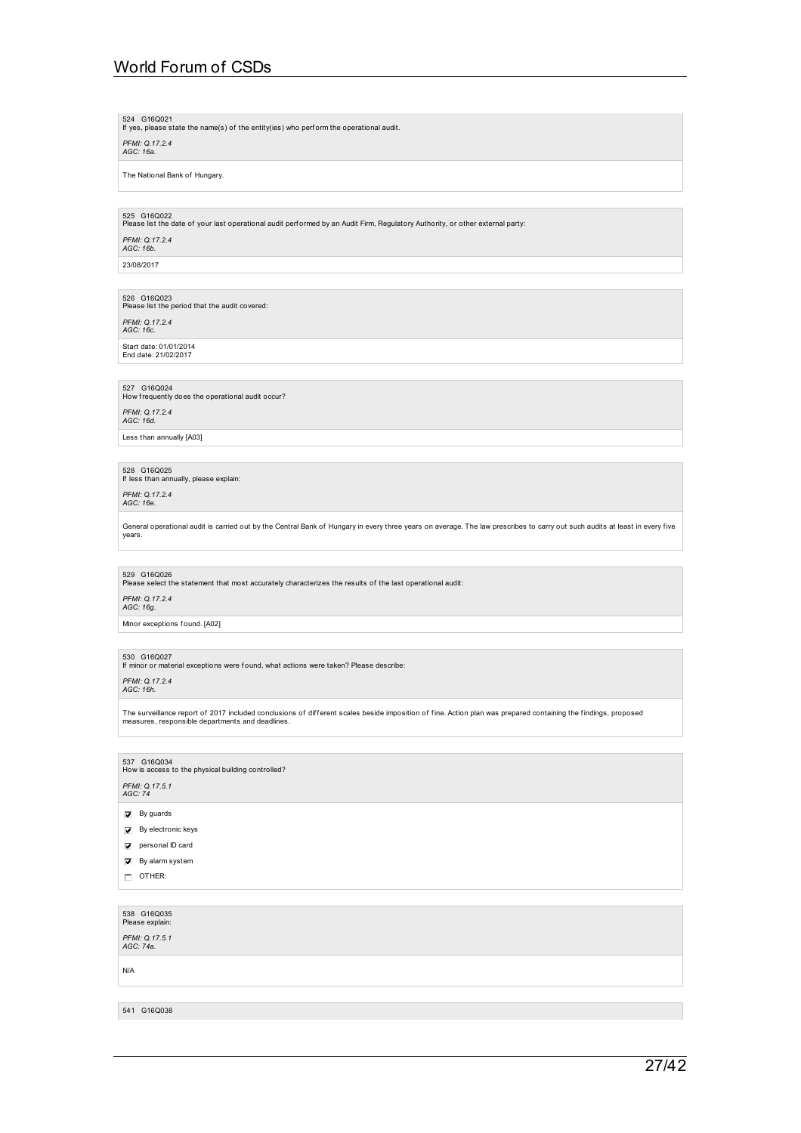524 G16Q021 If yes, please state the name(s) of the entity(ies) who perf orm the operational audit.

*PFMI: Q.17.2.4 AGC: 16a.*

The National Bank of Hungary.

525 G16Q022<br>Please list the date of your last operational audit performed by an Audit Firm, Regulatory Authority, or other external party:

*PFMI: Q.17.2.4 AGC: 16b.*

23/08/2017

526 G16Q023<br>Please list the period that the audit covered:

*PFMI: Q.17.2.4 AGC: 16c.*

Start date: 01/01/2014 End date: 21/02/2017

527 G16Q024<br>How frequently does the operational audit occur? *PFMI: Q.17.2.4 AGC: 16d.* Less than annually [A03]

528 G16Q025 If less than annually, please explain:

*PFMI: Q.17.2.4 AGC: 16e.*

General operational audit is carried out by the Central Bank of Hungary in every three years on average. The law prescribes to carry out such audits at least in every five years.

529 G16Q026<br>Please select the statement that most accurately characterizes the results of the last operational audit:

*PFMI: Q.17.2.4 AGC: 16g.*

Minor exceptions found. [A02]

530 G16Q027 If minor or material exceptions were found, what actions were taken? Please describe:

*PFMI: Q.17.2.4 AGC: 16h.*

The surveillance report of 2017 included conclusions of different scales beside imposition of fine. Action plan was prepared containing the findings, proposed<br>measures, responsible departments and deadlines.

537 G16Q034<br>How is access to the physical building controlled? *PFMI: Q.17.5.1 AGC: 74*

- 
- $\overline{\mathbf{y}}$  By guards
- By electronic keys
- personal ID card
- $\overline{\blacktriangledown}$  By alarm system
- OTHER:

538 G16Q035 Please explain: *PFMI: Q.17.5.1 AGC: 74a.* N/A

541 G16Q038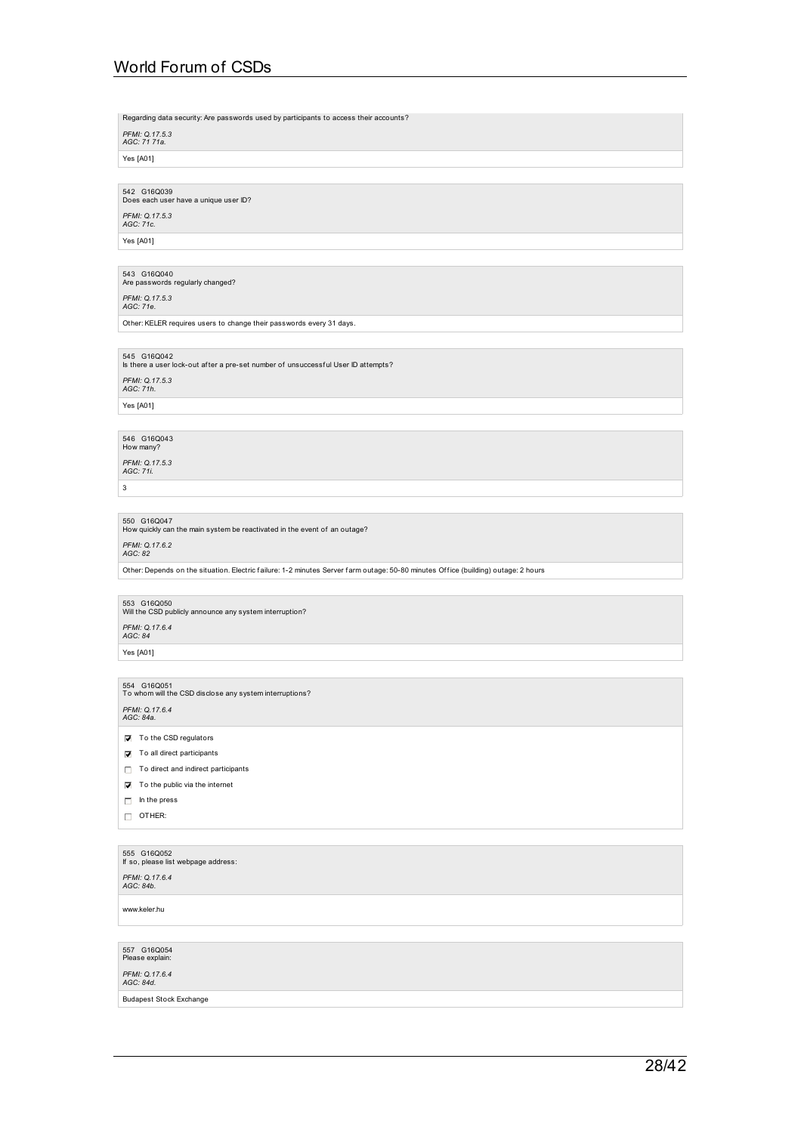Regarding data security: Are passwords used by participants to access their accounts?

*PFMI: Q.17.5.3 AGC: 71 71a.*

Yes [A01]

542 G16Q039<br>Does each user have a unique user ID?

*PFMI: Q.17.5.3 AGC: 71c.*

Yes [A01]

543 G16Q040<br>Are passwords regularly changed?

*PFMI: Q.17.5.3 AGC: 71e.*

Other: KELER requires users to change their passwords every 31 days.

545 G16Q042 Is there a user lock-out af ter a pre-set number of unsuccessf ul User ID attempts?

*PFMI: Q.17.5.3 AGC: 71h.* Yes [A01]

546 G16Q043<br>How many?

*PFMI: Q.17.5.3 AGC: 71i.*

3

550 G16Q047<br>How quickly can the main system be reactivated in the event of an outage? *PFMI: Q.17.6.2 AGC: 82*

Other: Depends on the situation. Electric failure: 1-2 minutes Server farm outage: 50-80 minutes Office (building) outage: 2 hours

553 G16Q050<br>Will the CSD publicly announce any system interruption? *PFMI: Q.17.6.4 AGC: 84*

Yes [A01]

554 G16Q051<br>To whom will the CSD disclose any system interruptions? *PFMI: Q.17.6.4 AGC: 84a.*

- $\Box$  To the CSD regulators
- $\nabla$  To all direct participants
- $\Box$  To direct and indirect participants
- $\nabla$  To the public via the internet
- $\Box$  In the press
- OTHER:

## 555 G16Q052 If so, please list webpage address:

*PFMI: Q.17.6.4 AGC: 84b.*

www.keler.hu

557 G16Q054<br>Please explain:

*PFMI: Q.17.6.4 AGC: 84d.*

Budapest Stock Exchange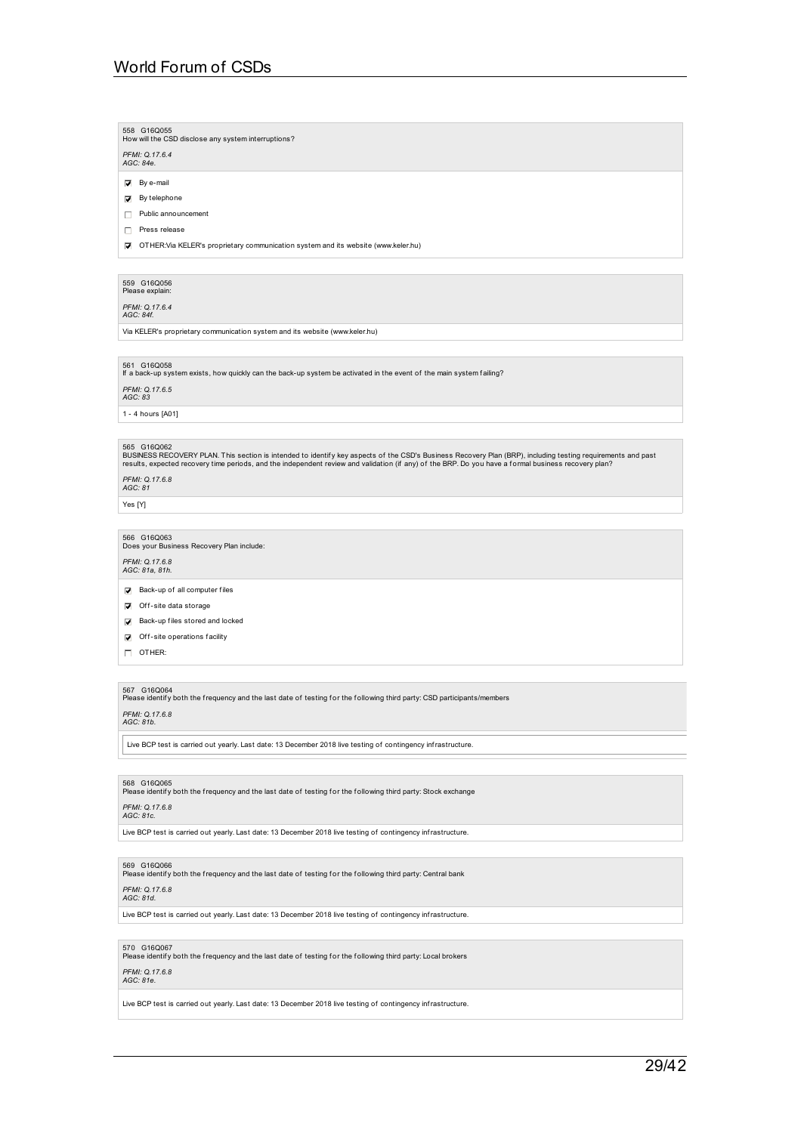558 G16Q055<br>How will the CSD disclose any system interruptions? *PFMI: Q.17.6.4 AGC: 84e.*  $\nabla$  By e-mail  $\Box$  By telephone

Public announcement

Press release

OTHER:Via KELER's proprietary communication system and its website (www.keler.hu)

559 G16Q056<br>Please explain:

*PFMI: Q.17.6.4 AGC: 84f.*

Via KELER's proprietary communication system and its website (www.keler.hu)

561 G16Q058 If a back-up system exists, how quickly can the back-up system be activated in the event of the main system f ailing?

*PFMI: Q.17.6.5 AGC: 83*

1 - 4 hours [A01]

565 G16Q062<br>BUSINESS RECOVERY PLAN. This section is intended to identify key aspects of the CSD's Business Recovery Plan (BRP), including testing requirements and past<br>results, expected recovery time periods, and the indep

*PFMI: Q.17.6.8 AGC: 81*

Yes [Y]

566 G16Q063<br>Does your Business Recovery Plan include:

## *PFMI: Q.17.6.8 AGC: 81a, 81h.*

 $\triangledown$  Back-up of all computer files

### $\nabla$  Off-site data storage

- $\overline{\mathbf{v}}$  Back-up files stored and locked
- $\nabla$  Off-site operations facility
- OTHER:

567 G16Q064<br>Please identify both the frequency and the last date of testing for the following third party: CSD participants/members

### *PFMI: Q.17.6.8 AGC: 81b.*

Live BCP test is carried out yearly. Last date: 13 December 2018 live testing of contingency infrastructure.

568 G16Q065<br>Please identify both the frequency and the last date of testing for the following third party: Stock exchange

## *PFMI: Q.17.6.8 AGC: 81c.*

Live BCP test is carried out yearly. Last date: 13 December 2018 live testing of contingency infrastructure.

### 569 G16Q066

Please identify both the frequency and the last date of testing for the following third party: Central bank

## *PFMI: Q.17.6.8 AGC: 81d.*

Live BCP test is carried out yearly. Last date: 13 December 2018 live testing of contingency infrastructure.

570 G16Q067<br>Please identify both the frequency and the last date of testing for the following third party: Local brokers

### *PFMI: Q.17.6.8 AGC: 81e.*

Live BCP test is carried out yearly. Last date: 13 December 2018 live testing of contingency infrastructure.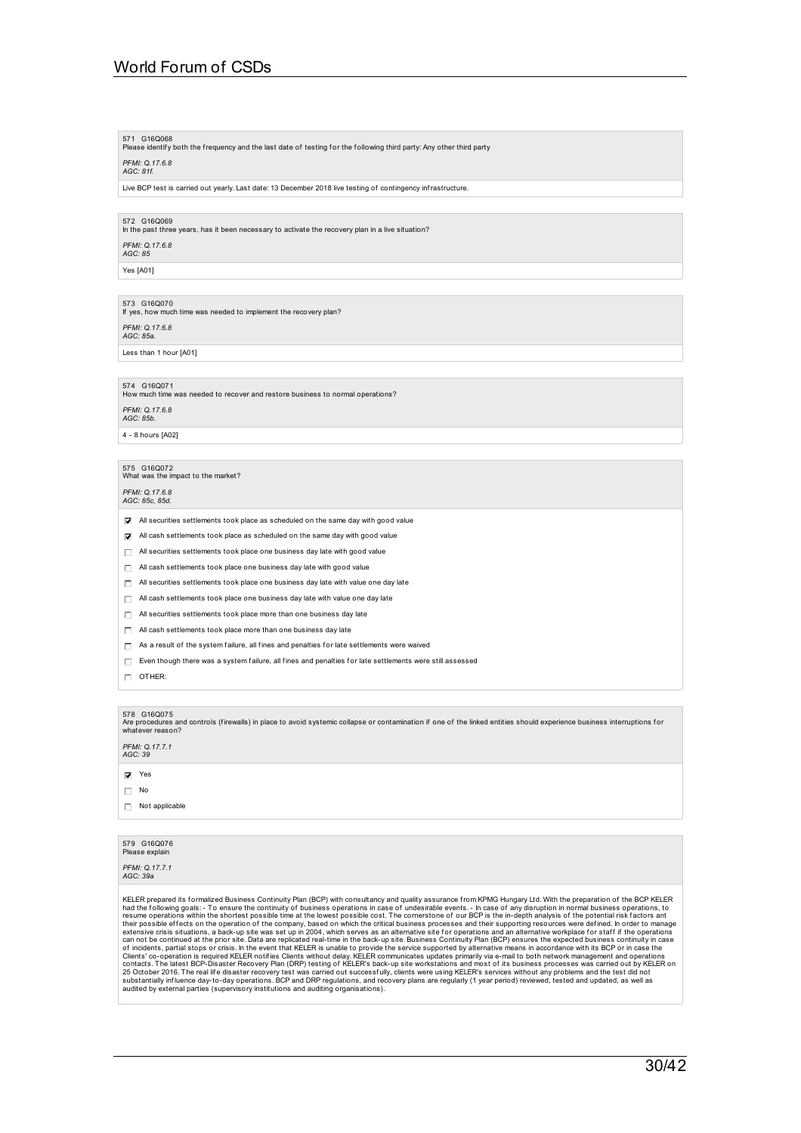### 571 G16Q068<br>Please identify both the frequency and the last date of testing for the following third party: Any other third party *PFMI: Q.17.6.8 AGC: 81f.*

Live BCP test is carried out yearly. Last date: 13 December 2018 live testing of contingency infrastructure.

572 G16Q069 In the past three years, has it been necessary to activate the recovery plan in a live situation?

*PFMI: Q.17.6.8 AGC: 85*

Yes [A01]

## 573 G16Q070 If yes, how much time was needed to implement the recovery plan? *PFMI: Q.17.6.8 AGC: 85a.*

Less than 1 hour [A01]

### 574 G16Q071

Brace Grogor is<br>How much time was needed to recover and restore business to normal operations?

*PFMI: Q.17.6.8 AGC: 85b.*

4 - 8 hours [A02]

## 575 G16Q072<br>What was the impact to the market?

*PFMI: Q.17.6.8 AGC: 85c, 85d.*

- All securities settlements took place as scheduled on the same day with good value
- All cash settlements took place as scheduled on the same day with good value
- All securities settlements took place one business day late with good value
- $\Box$  All cash settlements took place one business day late with good value
- $\Box$  All securities settlements took place one business day late with value one day late
- $\Box$  All cash settlements took place one business day late with value one day late
- $\Box$  All securities settlements took place more than one business day late
- $\Box$  All cash settlements took place more than one business day late
- $\Box$  As a result of the system failure, all fines and penalties for late settlements were waived
- $\Box$  Even though there was a system failure, all fines and penalties for late settlements were still assessed

 $\Box$  OTHER:

578 G16Q075<br>Are procedures and controls (firewalls) in place to avoid systemic collapse or contamination if one of the linked entities should experience business interruptions for<br>whatever reason?

*PFMI: Q.17.7.1 AGC: 39*

**Ves** 

### $\Box$  No

 $\Box$  Not applicable

### 579 G16Q076 Please expla

*PFMI: Q.17.7.1 AGC: 39a*

KELER prepared its formalized Business Continuity Plan (BCP) with consultancy and quality assurance from KPMG Hungary Ltd. With the preparation of the BCP KELER<br>KatER prepared its formalized Business Continuity of business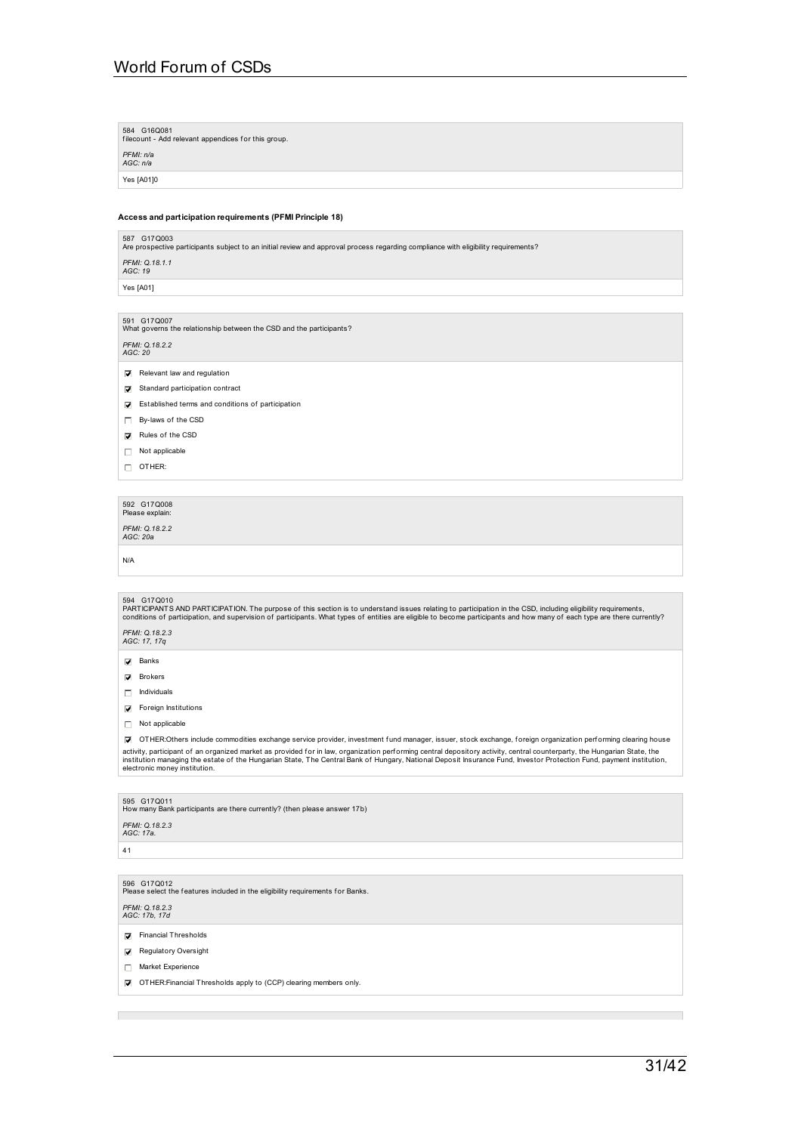| 584 G16Q081<br>filecount - Add relevant appendices for this group.                                                                                                                                                                                                                                                                                                                |
|-----------------------------------------------------------------------------------------------------------------------------------------------------------------------------------------------------------------------------------------------------------------------------------------------------------------------------------------------------------------------------------|
| PFMI: n/a<br>AGC: n/a                                                                                                                                                                                                                                                                                                                                                             |
| Yes [A01]0                                                                                                                                                                                                                                                                                                                                                                        |
|                                                                                                                                                                                                                                                                                                                                                                                   |
| Access and participation requirements (PFMI Principle 18)                                                                                                                                                                                                                                                                                                                         |
| 587 G17Q003<br>Are prospective participants subject to an initial review and approval process regarding compliance with eligibility requirements?                                                                                                                                                                                                                                 |
| PFMI: Q.18.1.1<br>AGC: 19                                                                                                                                                                                                                                                                                                                                                         |
| Yes [A01]                                                                                                                                                                                                                                                                                                                                                                         |
|                                                                                                                                                                                                                                                                                                                                                                                   |
| 591 G17Q007<br>What governs the relationship between the CSD and the participants?                                                                                                                                                                                                                                                                                                |
| PFMI: Q.18.2.2<br>AGC: 20                                                                                                                                                                                                                                                                                                                                                         |
| Relevant law and regulation<br>罓                                                                                                                                                                                                                                                                                                                                                  |
| Standard participation contract<br>☑                                                                                                                                                                                                                                                                                                                                              |
| Established terms and conditions of participation<br>☑                                                                                                                                                                                                                                                                                                                            |
| By-laws of the CSD<br>П.                                                                                                                                                                                                                                                                                                                                                          |
| Rules of the CSD<br>☑                                                                                                                                                                                                                                                                                                                                                             |
| Not applicable<br>П.                                                                                                                                                                                                                                                                                                                                                              |
| OTHER:<br>П.                                                                                                                                                                                                                                                                                                                                                                      |
|                                                                                                                                                                                                                                                                                                                                                                                   |
| 592 G17Q008<br>Please explain:                                                                                                                                                                                                                                                                                                                                                    |
| PFMI: Q.18.2.2                                                                                                                                                                                                                                                                                                                                                                    |
| AGC: 20a                                                                                                                                                                                                                                                                                                                                                                          |
| N/A                                                                                                                                                                                                                                                                                                                                                                               |
|                                                                                                                                                                                                                                                                                                                                                                                   |
| 594 G17Q010<br>PARTICIPANTS AND PARTICIPATION. The purpose of this section is to understand issues relating to participation in the CSD, including eligibility requirements,<br>conditions of participation, and supervision of participants. What types of entities are eligible to become participants and how many of each type are there currently?                           |
| PFMI: Q.18.2.3<br>AGC: 17, 17q                                                                                                                                                                                                                                                                                                                                                    |
| $\nabla$ Banks                                                                                                                                                                                                                                                                                                                                                                    |
| $\nabla$ Brokers                                                                                                                                                                                                                                                                                                                                                                  |
| Individuals<br>П.                                                                                                                                                                                                                                                                                                                                                                 |
| <b>☑</b> Foreign Institutions                                                                                                                                                                                                                                                                                                                                                     |
| Not applicable<br>П.                                                                                                                                                                                                                                                                                                                                                              |
| OTHER:Others include commodities exchange service provider, investment fund manager, issuer, stock exchange, foreign organization performing clearing house<br>◪                                                                                                                                                                                                                  |
| activity, participant of an organized market as provided for in law, organization performing central depository activity, central counterparty, the Hungarian State, the<br>institution managing the estate of the Hungarian State, The Central Bank of Hungary, National Deposit Insurance Fund, Investor Protection Fund, payment institution,<br>electronic money institution. |
|                                                                                                                                                                                                                                                                                                                                                                                   |
| 595 G17Q011<br>How many Bank participants are there currently? (then please answer 17b)                                                                                                                                                                                                                                                                                           |
| PFMI: Q.18.2.3<br>AGC: 17a.                                                                                                                                                                                                                                                                                                                                                       |
| 41                                                                                                                                                                                                                                                                                                                                                                                |
|                                                                                                                                                                                                                                                                                                                                                                                   |
| 596 G17Q012<br>Please select the features included in the eligibility requirements for Banks.                                                                                                                                                                                                                                                                                     |

*PFMI: Q.18.2.3 AGC: 17b, 17d*

 $\overline{\phantom{a}}$ 

 $\overline{\mathbf{V}}$  Financial Thresholds

Regulatory Oversight

Market Experience

OTHER:Financial Thresholds apply to (CCP) clearing members only.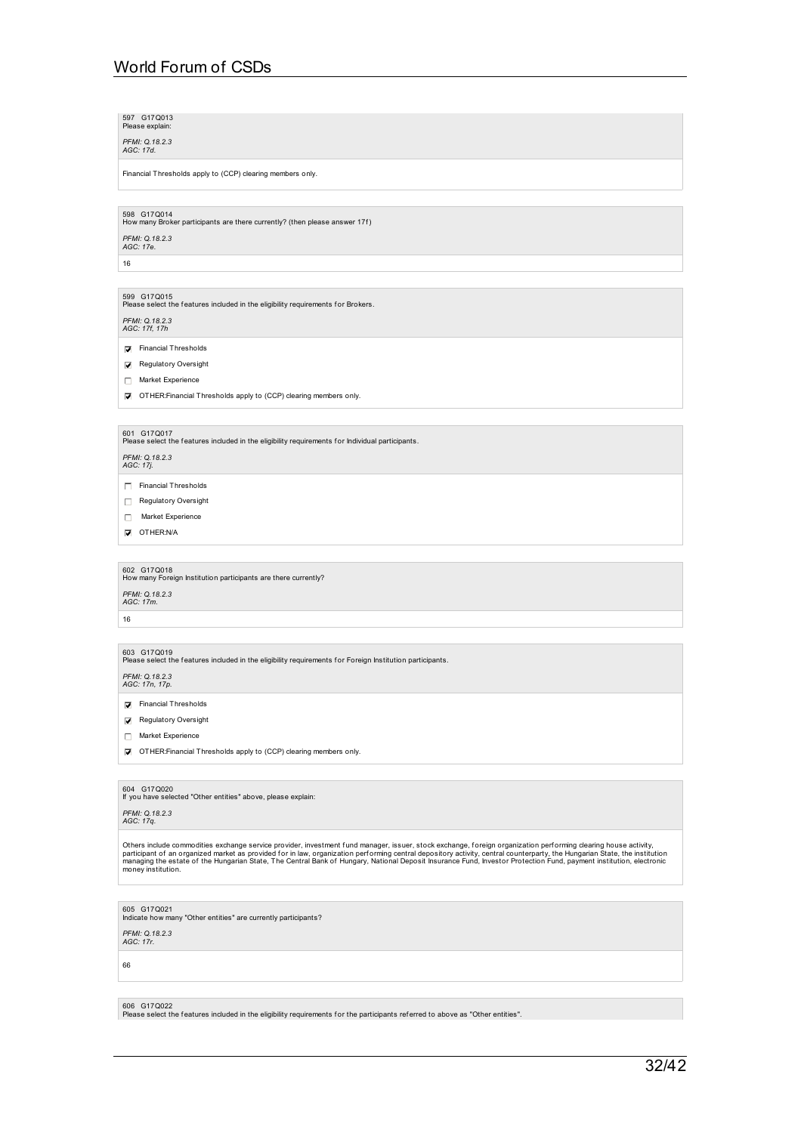597 G17Q013<br>Please explain:

*PFMI: Q.18.2.3 AGC: 17d.*

Financial Thresholds apply to (CCP) clearing members only.

598 G17Q014<br>How many Broker participants are there currently? (then please answer 17f) *PFMI: Q.18.2.3 AGC: 17e.*

16

599 G17Q015<br>Please select the features included in the eligibility requirements for Brokers.

*PFMI: Q.18.2.3 AGC: 17f, 17h*

- Financial Thresholds
- Regulatory Oversight
- Market Experience
- OTHER:Financial Thresholds apply to (CCP) clearing members only.

601 G17Q017<br>Please select the features included in the eligibility requirements for Individual participants.

*PFMI: Q.18.2.3 AGC: 17j.*

Financial Thresholds

- Regulatory Oversight
- Market Experience
- OTHER:N/A

602 G17Q018<br>How many Foreign Institution participants are there currently?

*PFMI: Q.18.2.3 AGC: 17m.*

16

## 603 G17Q019<br>Please select the features included in the eligibility requirements for Foreign Institution participants.

*PFMI: Q.18.2.3 AGC: 17n, 17p.*

- **Financial Thresholds**
- Regulatory Oversight
- Market Experience

OTHER:Financial Thresholds apply to (CCP) clearing members only.

604 G17Q020 If you have selected "Other entities" above, please explain:

*PFMI: Q.18.2.3 AGC: 17q.*

Others include commodities exchange service provider, investment fund manager, issuer, stock exchange, foreign organization performing clearing house activity,<br>participant of an organized market as provided for in law, org

605 G17Q021 Indicate how many "Other entities" are currently participants?

*PFMI: Q.18.2.3 AGC: 17r.*

66

606 G17Q022

Please select the features included in the eligibility requirements for the participants referred to above as "Other entities".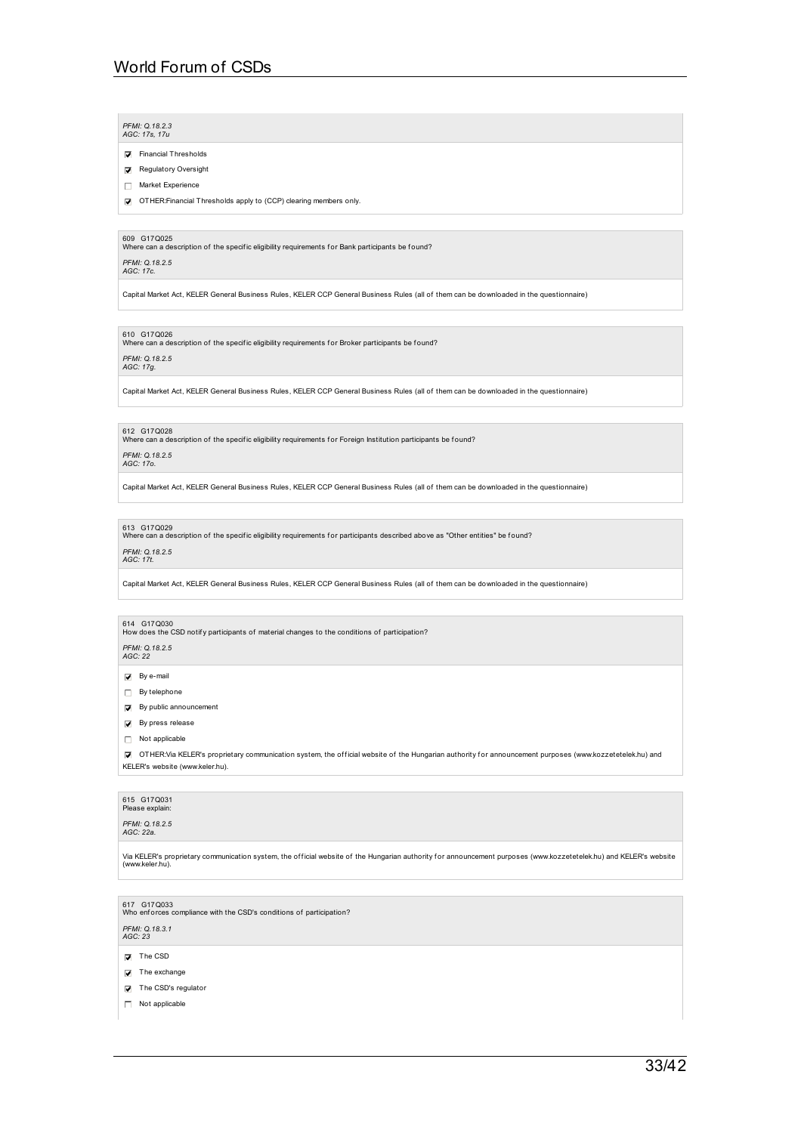### *PFMI: Q.18.2.3 AGC: 17s, 17u*

- Financial Thresholds
- Regulatory Oversight
- Market Experience
- OTHER:Financial Thresholds apply to (CCP) clearing members only.

609 G17Q025<br>Where can a description of the specific eligibility requirements for Bank participants be found?

*PFMI: Q.18.2.5 AGC: 17c.*

Capital Market Act, KELER General Business Rules, KELER CCP General Business Rules (all of them can be downloaded in the questionnaire)

610 G17Q026<br>Where can a description of the specific eligibility requirements for Broker participants be found?

## *PFMI: Q.18.2.5 AGC: 17g.*

Capital Market Act, KELER General Business Rules, KELER CCP General Business Rules (all of them can be downloaded in the questionnaire)

### 612 G17Q028

onzillation care care care care in the specific eligibility requirements for Foreign Institution participants be found?<br>Where can a description of the specific eligibility requirements for Foreign Institution participants

## *PFMI: Q.18.2.5 AGC: 17o.*

Capital Market Act, KELER General Business Rules, KELER CCP General Business Rules (all of them can be downloaded in the questionnaire)

613 G17Q029<br>Where can a description of the specific eligibility requirements for participants described above as "Other entities" be found?

## *PFMI: Q.18.2.5 AGC: 17t.*

Capital Market Act, KELER General Business Rules, KELER CCP General Business Rules (all of them can be downloaded in the questionnaire)

614 G17Q030<br>How does the CSD notify participants of material changes to the conditions of participation?

## *PFMI: Q.18.2.5 AGC: 22*

 $\overline{\mathsf{Q}}$  By e-mail

- $\Box$  By telephone
- $\nabla$  By public announcement
- $\overline{\mathbf{y}}$  By press release
- Not applicable
- OTHER:Via KELER's proprietary communication system, the of f icial website of the Hungarian authority f or announcement purposes (www.kozzetetelek.hu) and KELER's website (www.keler.hu).

### 615 G17Q031 Please exp

*PFMI: Q.18.2.5 AGC: 22a.*

Via KELER's proprietary communication system, the official website of the Hungarian authority for announcement purposes (www.kozzetetelek.hu) and KELER's website<br>(www.keler.hu).

617 G17Q033<br>Who enforces compliance with the CSD's conditions of participation?

*PFMI: Q.18.3.1 AGC: 23*

- $\nabla$  The CSD
- $\triangledown$  The exchange
- The CSD's regulator
- Not applicable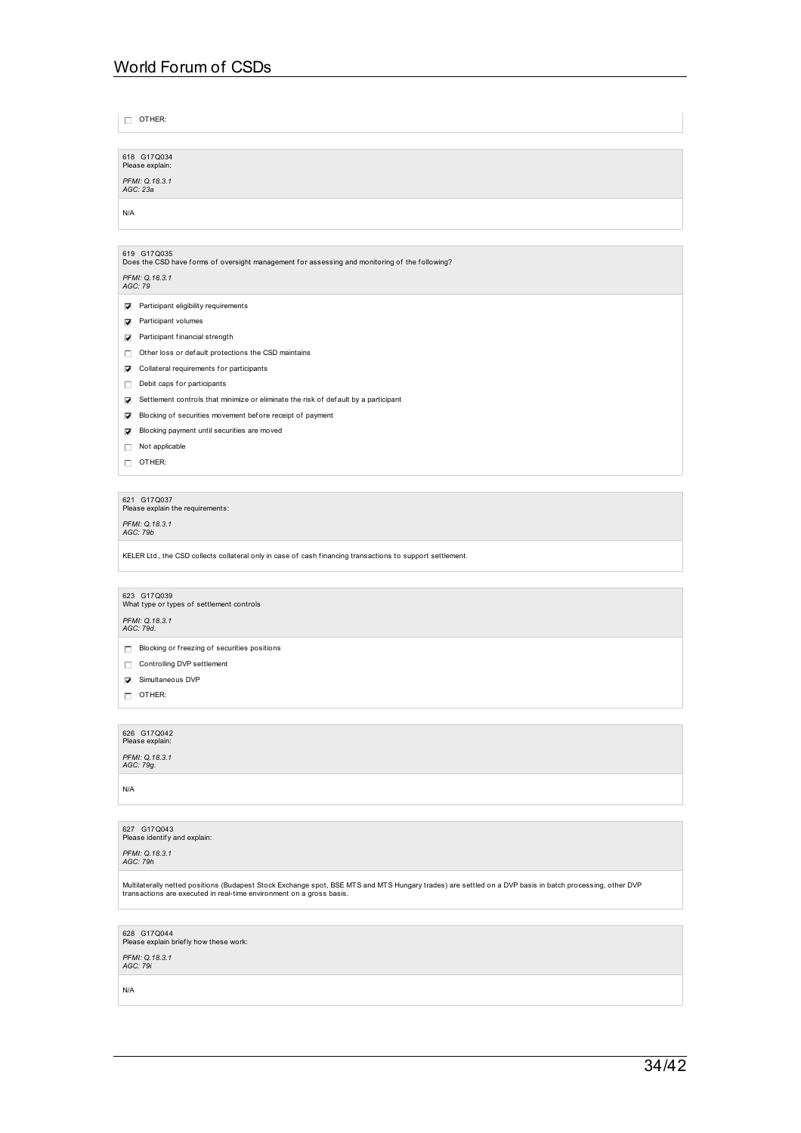| $\Box$ OTHER:                                                                                              |
|------------------------------------------------------------------------------------------------------------|
|                                                                                                            |
| 618 G17Q034                                                                                                |
| Please explain:                                                                                            |
| PFMI: Q.18.3.1<br>AGC: 23a                                                                                 |
| N/A                                                                                                        |
|                                                                                                            |
| 619 G17Q035                                                                                                |
| Does the CSD have forms of oversight management for assessing and monitoring of the following?             |
| PFMI: Q.18.3.1<br>AGC: 79                                                                                  |
| Participant eligibility requirements<br>☑                                                                  |
| $\nabla$ Participant volumes                                                                               |
| Participant financial strength                                                                             |
| Other loss or default protections the CSD maintains<br>п                                                   |
| Collateral requirements for participants<br>⊽                                                              |
| Debit caps for participants<br>П.                                                                          |
| Settlement controls that minimize or eliminate the risk of default by a participant<br>☑                   |
| Blocking of securities movement before receipt of payment<br>☑                                             |
| Blocking payment until securities are moved<br>罓                                                           |
| Not applicable<br>D.                                                                                       |
| $\Box$ OTHER:                                                                                              |
|                                                                                                            |
| 621 G17Q037<br>Please explain the requirements:                                                            |
| PFMI: Q.18.3.1<br>AGC: 79b                                                                                 |
| KELER Ltd., the CSD collects collateral only in case of cash financing transactions to support settlement. |
|                                                                                                            |
| 623 G17Q039                                                                                                |
| What type or types of settlement controls                                                                  |
| PFMI: Q.18.3.1<br>AGC: 79d.                                                                                |
| $\Box$ Blocking or freezing of securities positions                                                        |
| Controlling DVP settlement<br>D.                                                                           |
| Simultaneous DVP<br>M                                                                                      |
| $\Box$ OTHER:                                                                                              |
|                                                                                                            |
| 626 G17Q042<br>Please explain:                                                                             |

Please explain: *PFMI: Q.18.3.1 AGC: 79g.*

N/A

627 G17Q043<br>Please identify and explain:

*PFMI: Q.18.3.1 AGC: 79h*

Multilaterally netted positions (Budapest Stock Exchange spot, BSE MTS and MTS Hungary trades) are settled on a DVP basis in batch processing, other DVP<br>transactions are executed in real-time environment on a gross basis.

628 G17Q044<br>Please explain brief ly how these work:

*PFMI: Q.18.3.1 AGC: 79i*

N/A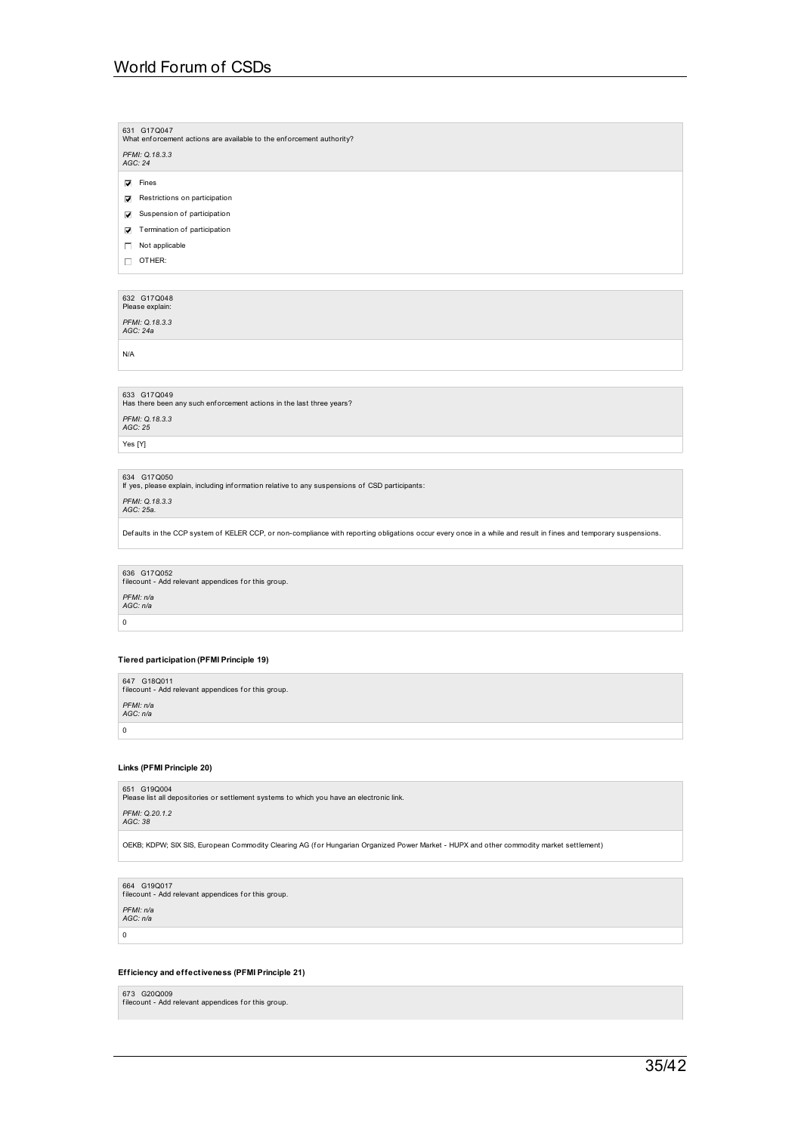| 631 G17Q047                                                          |  |  |  |  |
|----------------------------------------------------------------------|--|--|--|--|
| What enforcement actions are available to the enforcement authority? |  |  |  |  |

*PFMI: Q.18.3.3 AGC: 24*

 $\nabla$  Fines

- Restrictions on participation
- Suspension of participation

**V** Termination of participation

Not applicable

 $\Box$  OTHER:

## 632 G17Q048<br>Please explain:

*PFMI: Q.18.3.3 AGC: 24a*

N/A

633 G17Q049<br>Has there been any such enforcement actions in the last three years? *PFMI: Q.18.3.3 AGC: 25*

Yes [Y]

634 G17Q050 If yes, please explain, including inf ormation relative to any suspensions of CSD participants:

*PFMI: Q.18.3.3 AGC: 25a.*

Defaults in the CCP system of KELER CCP, or non-compliance with reporting obligations occur every once in a while and result in fines and temporary suspensions.

636 G17Q052 f ilecount - Add relevant appendices f or this group.

*PFMI: n/a AGC: n/a*

# $\,$  0  $\,$

### **Tiered participation (PFMI Principle 19)**

647 G18Q011 f ilecount - Add relevant appendices f or this group. *PFMI: n/a AGC: n/a*  $\overline{\phantom{a}}$ 

### **Links (PFMI Principle 20)**

651 G19Q004<br>Please list all depositories or settlement systems to which you have an electronic link.

*PFMI: Q.20.1.2 AGC: 38*

OEKB; KDPW; SIX SIS, European Commodity Clearing AG (for Hungarian Organized Power Market - HUPX and other commodity market settlement)

## 664 G19Q017 f ilecount - Add relevant appendices f or this group.

*PFMI: n/a AGC: n/a*

 $\overline{0}$ 

### **Efficiency and effectiveness (PFMI Principle 21)**

673 G20Q009 f ilecount - Add relevant appendices f or this group.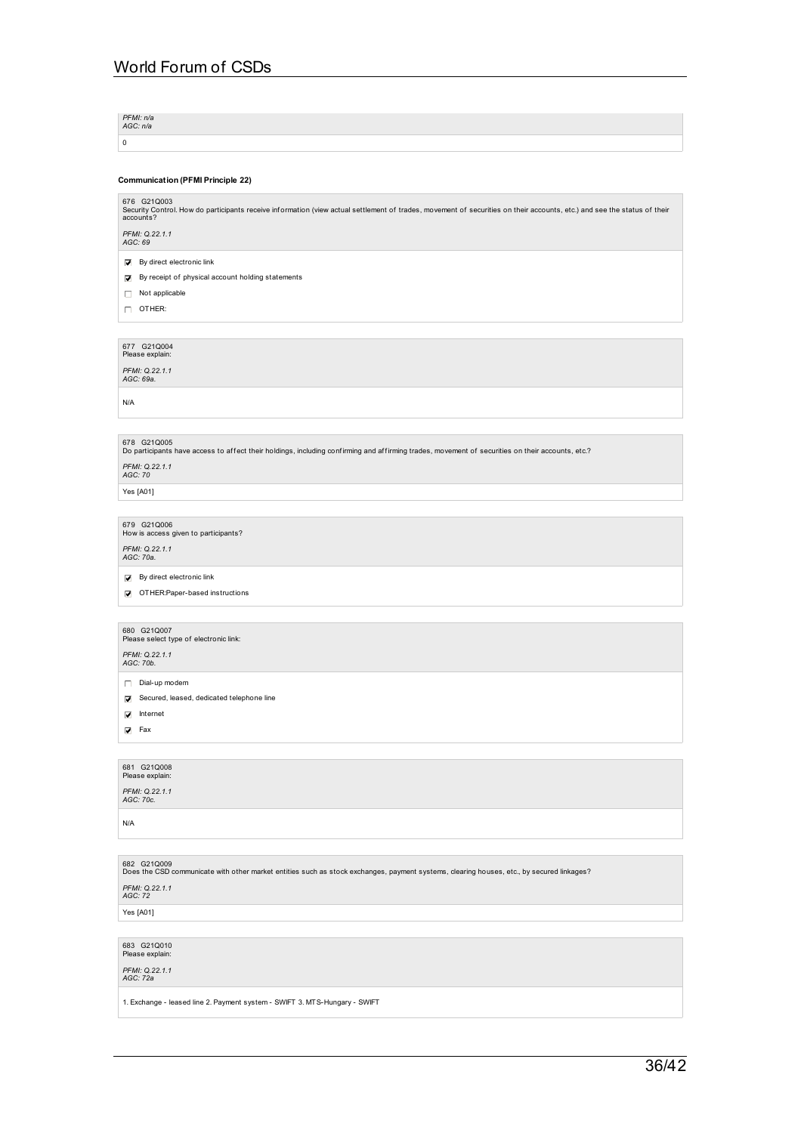*PFMI: n/a AGC: n/a*  $\vert$  0

### **Communication (PFMI Principle 22)**

676 G21Q003<br>Security Control. How do participants receive information (view actual settlement of trades, movement of securities on their accounts, etc.) and see the status of their<br>accounts?

*PFMI: Q.22.1.1 AGC: 69*

 $\overline{\smash[b]{\bigtriangledown}}$  By direct electronic link

By receipt of physical account holding statements

 $\Box$  Not applicable

 $\Box$  OTHER:

677 G21Q004<br>Please explain:

*PFMI: Q.22.1.1 AGC: 69a.*

N/A

678 G21Q005<br>Do participants have access to affect their holdings, including confirming and affirming trades, movement of securities on their accounts, etc.?

*PFMI: Q.22.1.1 AGC: 70*

Yes [A01]

679 G21Q006<br>How is access given to participants?

*PFMI: Q.22.1.1 AGC: 70a.*

 $\nabla$  By direct electronic link

OTHER:Paper-based instructions

## 680 G21Q007<br>Please select type of electronic link:

*PFMI: Q.22.1.1 AGC: 70b.*

Dial-up modem

Secured, leased, dedicated telephone line

 $\overline{\blacktriangledown}$  Internet

 $\overline{\mathbf{V}}$  Fax

# 681 G21Q008<br>Please explain:

*PFMI: Q.22.1.1 AGC: 70c.*

N/A

# 682 G21Q009<br>Does the CSD communicate with other market entities such as stock exchanges, payment systems, clearing houses, etc., by secured linkages? *PFMI: Q.22.1.1 AGC: 72*

Yes [A01]

683 G21Q010<br>Please explain:

*PFMI: Q.22.1.1 AGC: 72a*

1. Exchange - leased line 2. Payment system - SWIFT 3. MTS-Hungary - SWIFT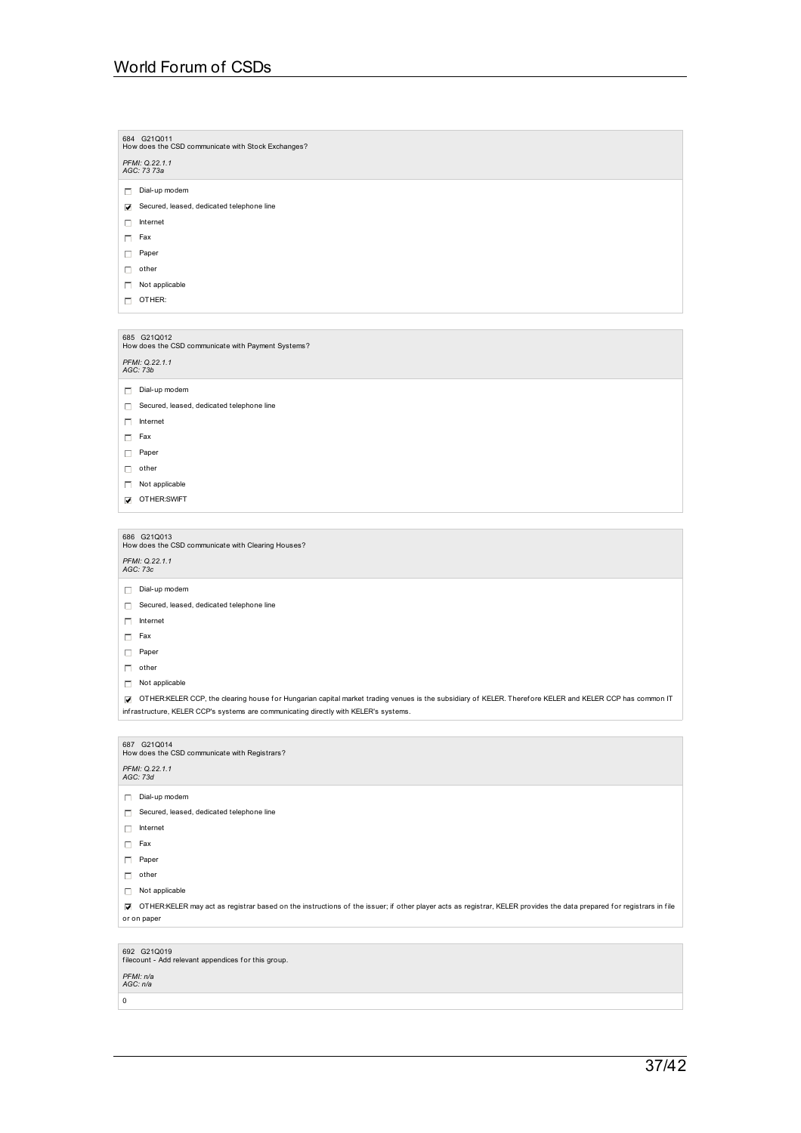| 684 G21Q011<br>How does the CSD communicate with Stock Exchanges? |
|-------------------------------------------------------------------|
| PFMI: Q.22.1.1<br>AGC: 73 73a                                     |
| Dial-up modem<br>п                                                |
| Secured, leased, dedicated telephone line<br>⊽                    |
| Internet<br>п                                                     |
| Fax<br>П.                                                         |
| Paper<br>п                                                        |
| other<br>Л                                                        |
| Not applicable<br>Л                                               |
| OTHER:<br>п.                                                      |
|                                                                   |
| 685 G21Q012<br>How does the CSD communicate with Payment Systems? |
| PFMI: Q.22.1.1<br>AGC: 73b                                        |

Dial-up modem

Secured, leased, dedicated telephone line

 $\Box$  Internet

 $\Box$  Fax

Paper

 $\Box$  other

Not applicable

**D** OTHER:SWIFT

686 G21Q013<br>How does the CSD communicate with Clearing Houses?

*PFMI: Q.22.1.1 AGC: 73c*

Dial-up modem

- Secured, leased, dedicated telephone line
- $\Box$  Internet
- $\Box$  Fax
- 

 $\Box$  Paper

 $\Box$  other

 $\Box$  Not applicable

OTHER:KELER CCP, the clearing house f or Hungarian capital market trading venues is the subsidiary of KELER. Theref ore KELER and KELER CCP has common IT infrastructure, KELER CCP's systems are communicating directly with KELER's systems.

| 687 G21Q014<br>How does the CSD communicate with Registrars?                                                                                                               |
|----------------------------------------------------------------------------------------------------------------------------------------------------------------------------|
| PFMI: Q.22.1.1<br>AGC: 73d                                                                                                                                                 |
| Dial-up modem<br>Л                                                                                                                                                         |
| Secured, leased, dedicated telephone line<br>Л                                                                                                                             |
| Internet<br>Л                                                                                                                                                              |
| Fax<br>Л                                                                                                                                                                   |
| Paper<br>п                                                                                                                                                                 |
| п<br>other                                                                                                                                                                 |
| Not applicable<br>п                                                                                                                                                        |
| OTHER:KELER may act as registrar based on the instructions of the issuer; if other player acts as registrar, KELER provides the data prepared for registrars in file<br>R. |
| or on paper                                                                                                                                                                |
|                                                                                                                                                                            |
| 692 G21Q019<br>filecount - Add relevant appendices for this group.                                                                                                         |
| PFMI: n/a<br>AGC: n/a                                                                                                                                                      |

 $\boxed{0}$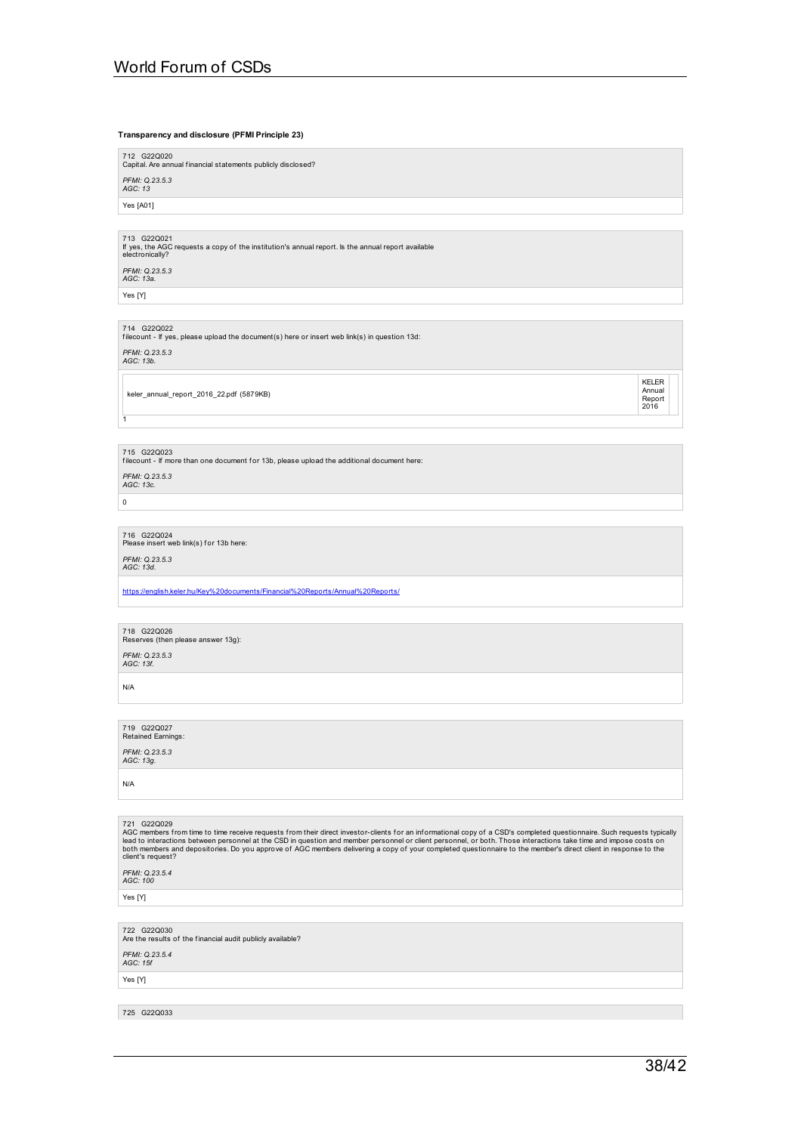# 38/42

725 G22Q033

*PFMI: Q.23.5.4 AGC: 15f* Yes [Y]

722 G22Q030<br>Are the results of the financial audit publicly available?

Yes [Y]

*PFMI: Q.23.5.4 AGC: 100*

721 G220029<br>AGC members from time to time receive requests from their direct investor-clients for an informational copy of a CSD's completed questionnaire. Such requests typically<br>lead to interactions between personnel at

N/A

*PFMI: Q.23.5.3 AGC: 13g.*

719 G22Q027 Retained Earnings:

N/A

*PFMI: Q.23.5.3 AGC: 13f.*

718 G22Q026<br>Reserves (then please answer 13g):

[https://english.keler.hu/Key%20documents/Financial%20Reports/Annual%20Reports/](https://english.keler.hu/Key documents/Financial Reports/Annual Reports/)

*PFMI: Q.23.5.3 AGC: 13d.*

*PFMI: Q.23.5.3 AGC: 13c.*

1

keler\_annual\_report\_2016\_22.pdf (5879KB)

*PFMI: Q.23.5.3 AGC: 13b.*

714 G22Q022 f ilecount - If yes, please upload the document(s) here or insert web link(s) in question 13d:

713 G22Q021 If yes, the AGC requests a copy of the institution's annual report. Is the annual report available electronically?

*PFMI: Q.23.5.3 AGC: 13* Yes [A01]

*PFMI: Q.23.5.3 AGC: 13a.*

Yes [Y]

716 G22Q024<br>Please insert web link(s) for 13b here:

 $\,$  0  $\,$ 

715 G22Q023 f ilecount - If more than one document f or 13b, please upload the additional document here:

KELER

Annual<br>Report<br>2016

World Forum of CSDs

**Transparency and disclosure (PFMI Principle 23)**

712 G22Q020<br>Capital. Are annual financial statements publicly disclosed?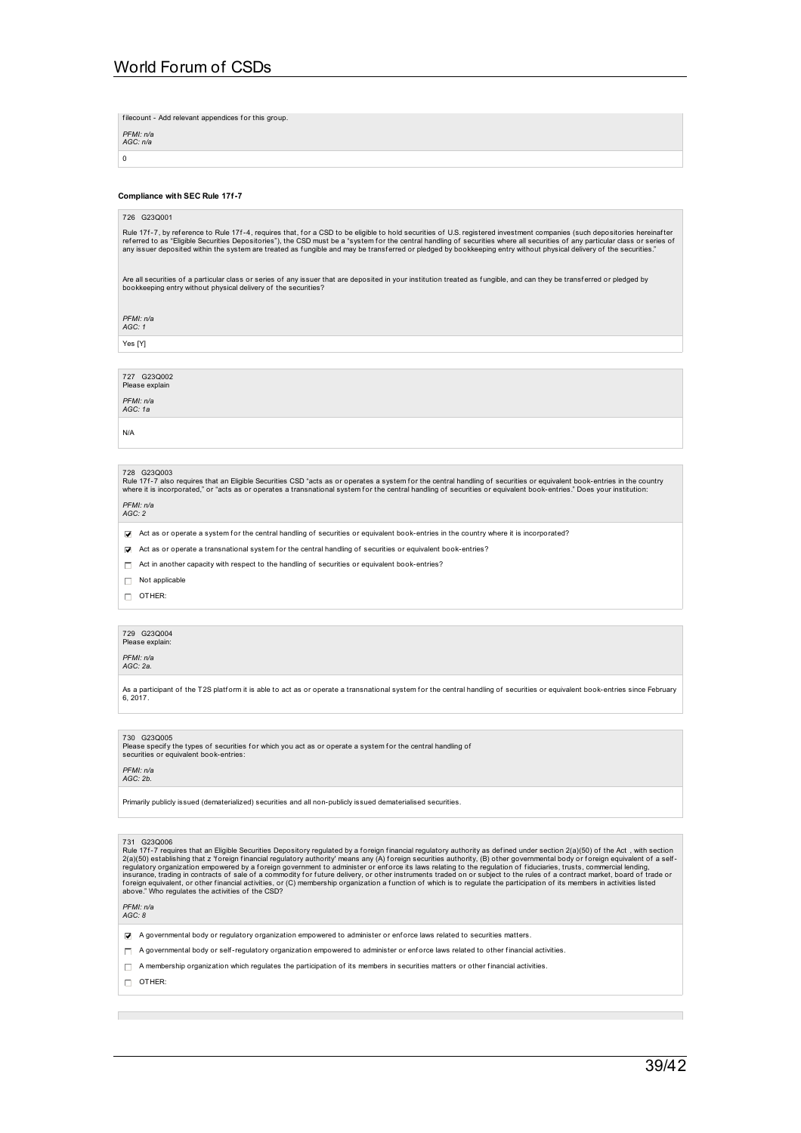filecount - Add relevant appendices for this group.

| PFMI: n/a<br>AGC: n/a |
|-----------------------|
| n                     |

### **Compliance with SEC Rule 17f-7**

### 726 G23Q001

Rule 17f-7, by reference to Rule 17f-4, requires that, for a CSD to be eligible to hold securities of U.S. registered investment companies (such depositories hereinafter<br>referred to as "Eligible Securities Depositories"),

Are all securities of a particular class or series of any issuer that are deposited in your institution treated as fungible, and can they be transferred or pledged by<br>bookkeeping entry without physical delivery of the secu

*PFMI: n/a AGC: 1*

Yes [Y]

727 G23Q002 Please explain

*PFMI: n/a*

*AGC: 1a*

N/A

### 728 G23Q003

Rule 17f-7 also requires that an Eligible Securities CSD "acts as or operates a system for the central handling of securities or equivalent book-entries in the country<br>where it is incorporated," or "acts as or operates a t

*PFMI: n/a AGC: 2*

 $\blacktriangledown$  Act as or operate a system for the central handling of securities or equivalent book-entries in the country where it is incorporated?

 $\triangledown$  Act as or operate a transnational system for the central handling of securities or equivalent book-entries?

 $\Box$  Act in another capacity with respect to the handling of securities or equivalent book-entries?

 $\Box$  Not applicable

OTHER:

## 729 G23Q004<br>Please explain:

*PFMI: n/a*

### *AGC: 2a.*

As a participant of the T2S platform it is able to act as or operate a transnational system for the central handling of securities or equivalent book-entries since February 6, 2017

### 730 G23Q005

Please specify the types of securities for which you act as or operate a system for the central handling of<br>securities or equivalent book-entries:

## *PFMI: n/a AGC: 2b.*

Primarily publicly issued (dematerialized) securities and all non-publicly issued dematerialised securities.

731 G230006<br>Rule 171-7 requires that an Eligible Securities Depository regulated by a foreign financial regulatory authority as defined under section 2(a)(50) of the Act , with section<br>2(a)(50) establishing that z 'foreign

*PFMI: n/a AGC: 8*

- A governmental body or regulatory organization empowered to administer or enf orce laws related to securities matters.
- $\Box$  A governmental body or self-regulatory organization empowered to administer or enforce laws related to other financial activities.
- $\Box$  A membership organization which regulates the participation of its members in securities matters or other financial activities.
- $\Box$  OTHER: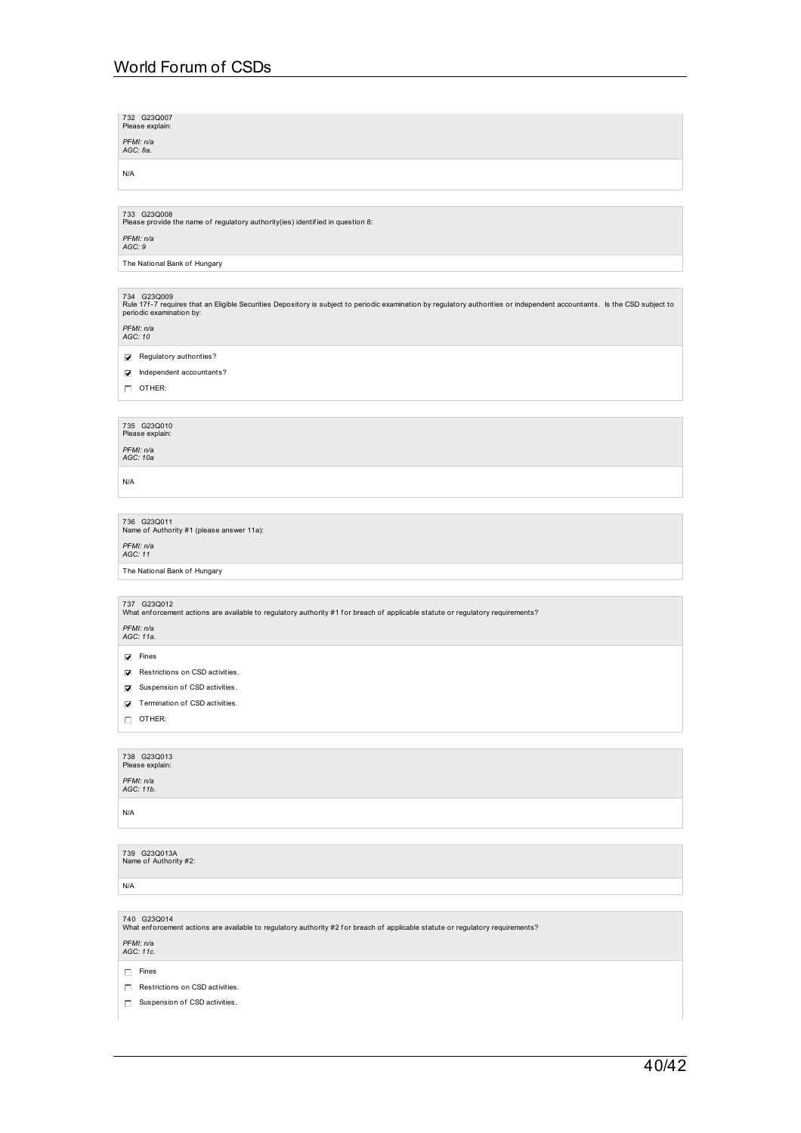| 732 G23Q007<br>Please explain:                                                                                                                                                                                                               |
|----------------------------------------------------------------------------------------------------------------------------------------------------------------------------------------------------------------------------------------------|
| PFMI: n/a<br>AGC: 8a.                                                                                                                                                                                                                        |
| N/A                                                                                                                                                                                                                                          |
|                                                                                                                                                                                                                                              |
| 733 G23Q008<br>Please provide the name of regulatory authority(ies) identified in question 8:                                                                                                                                                |
| PFMI: n/a<br>AGC: 9                                                                                                                                                                                                                          |
| The National Bank of Hungary                                                                                                                                                                                                                 |
|                                                                                                                                                                                                                                              |
| 734 G23Q009<br>Rule 17f-7 requires that an Eligible Securities Depository is subject to periodic examination by regulatory authorities or independent accountants. Is the CSD subject to<br>periodic examination by:<br>PFMI: n/a<br>AGC: 10 |
| Regulatory authorities?<br>☑                                                                                                                                                                                                                 |
| Independent accountants?<br>☑                                                                                                                                                                                                                |
| $\Box$ OTHER:                                                                                                                                                                                                                                |
| 735 G23Q010                                                                                                                                                                                                                                  |
| Please explain:                                                                                                                                                                                                                              |
| PFMI: n/a<br>AGC: 10a                                                                                                                                                                                                                        |
| N/A                                                                                                                                                                                                                                          |
|                                                                                                                                                                                                                                              |
| 736 G23Q011<br>Name of Authority #1 (please answer 11a):                                                                                                                                                                                     |
| PFMI: n/a<br>AGC: 11                                                                                                                                                                                                                         |
| The National Bank of Hungary                                                                                                                                                                                                                 |
|                                                                                                                                                                                                                                              |
| 737 G23Q012<br>What enforcement actions are available to regulatory authority #1 for breach of applicable statute or regulatory requirements?                                                                                                |
| PFMI: n/a<br>AGC: 11a.                                                                                                                                                                                                                       |
| $\nabla$ Fines                                                                                                                                                                                                                               |
| Restrictions on CSD activities.                                                                                                                                                                                                              |
| Suspension of CSD activities.<br>☑                                                                                                                                                                                                           |
| $\sqrt{\phantom{a}}$ Termination of CSD activities.                                                                                                                                                                                          |
| $\Box$ OTHER:                                                                                                                                                                                                                                |
| 738 G23Q013                                                                                                                                                                                                                                  |
| Please explain:                                                                                                                                                                                                                              |
| PFMI: n/a<br>AGC: 11b.                                                                                                                                                                                                                       |
| N/A                                                                                                                                                                                                                                          |
|                                                                                                                                                                                                                                              |
| 739 G23Q013A<br>Name of Authority #2:                                                                                                                                                                                                        |
| N/A                                                                                                                                                                                                                                          |
| 740 G23Q014<br>What enforcement actions are available to regulatory authority #2 for breach of applicable statute or regulatory requirements?                                                                                                |
| PFMI: n/a<br>AGC: 11c.                                                                                                                                                                                                                       |
| $\Box$ Fines                                                                                                                                                                                                                                 |
|                                                                                                                                                                                                                                              |

 $\boxed{\Box}$  Suspension of CSD activities.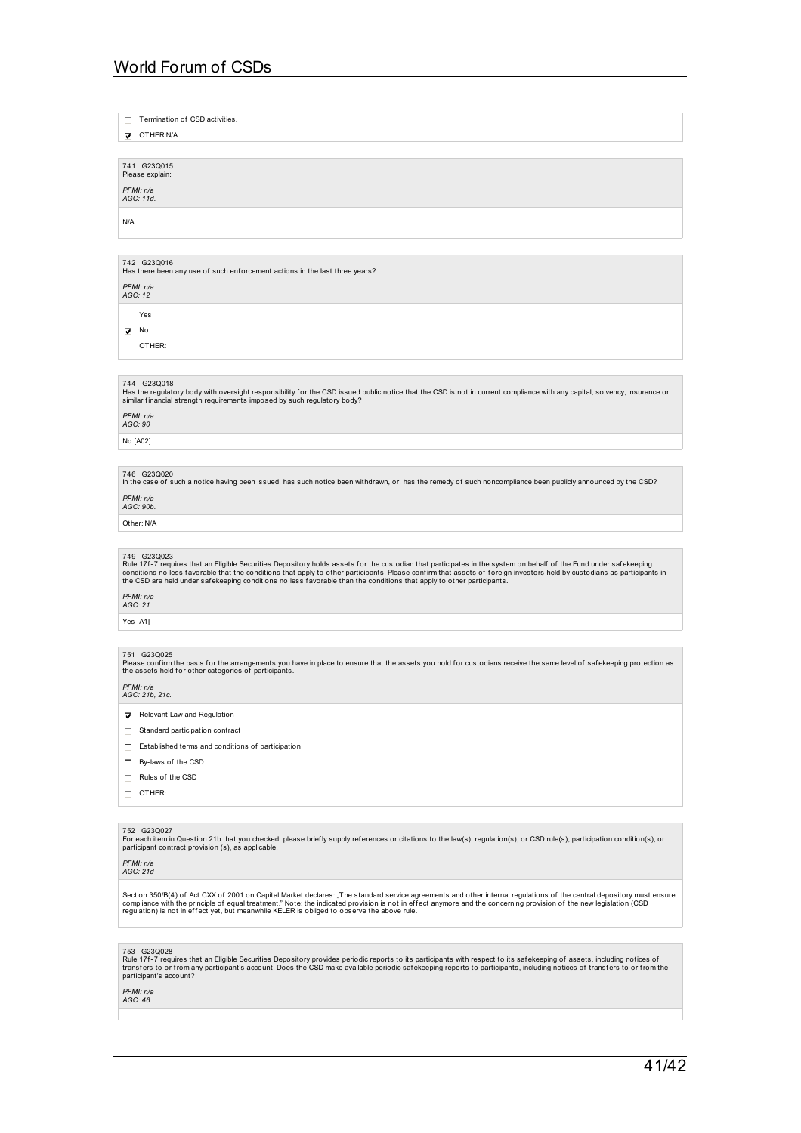$\Box$  Termination of CSD activities.

OTHER:N/A

741 G23Q015 Please expla

*PFMI: n/a AGC: 11d.*

N/A

742 G23Q016<br>Has there been any use of such enforcement actions in the last three years?

*PFMI: n/a AGC: 12*

Yes

 $\overline{\phantom{a}}$  No

 $\Box$  OTHER:

744 G23Q018<br>Has the regulatory body with oversight responsibility for the CSD issued public notice that the CSD is not in current compliance with any capital, solvency, insurance or<br>similar financial strength requirements

*PFMI: n/a AGC: 90*

No [A02]

746 G23Q020 In the case of such a notice having been issued, has such notice been withdrawn, or, has the remedy of such noncompliance been publicly announced by the CSD?

*PFMI: n/a AGC: 90b.*

Other: N/A

749 G23Q023<br>Rule 17f-7 requires that an Eligible Securities Depository holds assets for the custodian that participates in the system on behalf of the Fund under safekeeping<br>conditions no less favorable that the conditions

## *PFMI: n/a AGC: 21*

Yes [A1]

### 751 G23Q025

Please confirm the basis for the arrangements you have in place to ensure that the assets you hold for custodians receive the same level of safekeeping protection as<br>the assets held for other categories of participants.

*PFMI: n/a AGC: 21b, 21c.*

Relevant Law and Regulation

- $\Box$  Standard participation contract
- $\Box$  Established terms and conditions of participation
- By-laws of the CSD
- $\Box$  Rules of the CSD
- $\Box$  OTHER:
- 

752  G23Q027<br>For each item in Question 21b that you checked, please briefly supply references or citations to the law(s), regulation(s), or CSD rule(s), participation condition(s), or<br>participant contract provision (s), as

*PFMI: n/a AGC: 21d*

Section 350/B(4) of Act CXX of 2001 on Capital Market declares: "The standard service agreements and other internal regulations of the central depository must ensure<br>compliance with the principle of equal treatment." Note

753 G23Q028<br>Rule 17f-7 requires that an Eligible Securities Depository provides periodic reports to its participants with respect to its safekeeping of assets, including notices of<br>transfers to or from any participant's

## *PFMI: n/a AGC: 46*